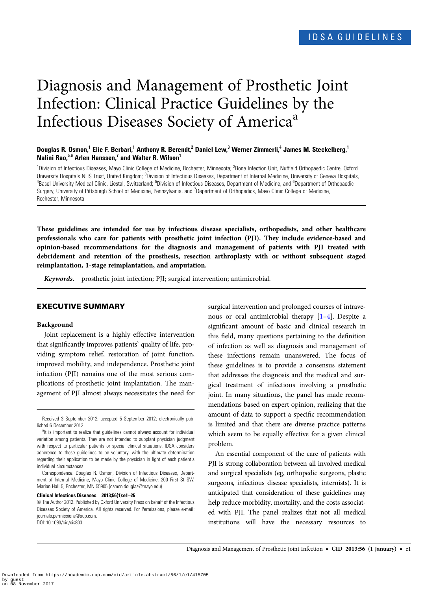# Diagnosis and Management of Prosthetic Joint Infection: Clinical Practice Guidelines by the Infectious Diseases Society of America<sup>a</sup>

# Douglas R. Osmon,<sup>1</sup> Elie F. Berbari,<sup>1</sup> Anthony R. Berendt,<sup>2</sup> Daniel Lew,<sup>3</sup> Werner Zimmerli,<sup>4</sup> James M. Steckelberg,<sup>1</sup> Nalini Rao,<sup>5,6</sup> Arlen Hanssen,<sup>7</sup> and Walter R. Wilson<sup>1</sup>

<sup>1</sup>Division of Infectious Diseases, Mayo Clinic College of Medicine, Rochester, Minnesota; <sup>2</sup>Bone Infection Unit, Nuffield Orthopaedic Centre, Oxford University Hospitals NHS Trust, United Kingdom; <sup>3</sup>Division of Infectious Diseases, Department of Internal Medicine, University of Geneva Hospitals,<br><sup>4</sup>Basel University Medical Clinic, Liestal, Switzerland: <sup>5</sup>Division of Basel University Medical Clinic, Liestal, Switzerland; <sup>5</sup>Division of Infectious Diseases, Department of Medicine, and <sup>6</sup>Department of Orthopaedic Surgery, University of Pittsburgh School of Medicine, Pennsylvania, and <sup>7</sup>Department of Orthopedics, Mayo Clinic College of Medicine, Rochester, Minnesota

These guidelines are intended for use by infectious disease specialists, orthopedists, and other healthcare professionals who care for patients with prosthetic joint infection (PJI). They include evidence-based and opinion-based recommendations for the diagnosis and management of patients with PJI treated with debridement and retention of the prosthesis, resection arthroplasty with or without subsequent staged reimplantation, 1-stage reimplantation, and amputation.

Keywords. prosthetic joint infection; PJI; surgical intervention; antimicrobial.

#### EXECUTIVE SUMMARY

#### Background

Joint replacement is a highly effective intervention that significantly improves patients' quality of life, providing symptom relief, restoration of joint function, improved mobility, and independence. Prosthetic joint infection (PJI) remains one of the most serious complications of prosthetic joint implantation. The management of PJI almost always necessitates the need for

#### Clinical Infectious Diseases 2013;56(1):e1–25

surgical intervention and prolonged courses of intravenous or oral antimicrobial therapy [[1](#page-20-0)–[4\]](#page-20-0). Despite a significant amount of basic and clinical research in this field, many questions pertaining to the definition of infection as well as diagnosis and management of these infections remain unanswered. The focus of these guidelines is to provide a consensus statement that addresses the diagnosis and the medical and surgical treatment of infections involving a prosthetic joint. In many situations, the panel has made recommendations based on expert opinion, realizing that the amount of data to support a specific recommendation is limited and that there are diverse practice patterns which seem to be equally effective for a given clinical problem.

An essential component of the care of patients with PJI is strong collaboration between all involved medical and surgical specialists (eg, orthopedic surgeons, plastic surgeons, infectious disease specialists, internists). It is anticipated that consideration of these guidelines may help reduce morbidity, mortality, and the costs associated with PJI. The panel realizes that not all medical institutions will have the necessary resources to

Received 3 September 2012; accepted 5 September 2012; electronically published 6 December 2012.

<sup>&</sup>lt;sup>a</sup>lt is important to realize that guidelines cannot always account for individual variation among patients. They are not intended to supplant physician judgment with respect to particular patients or special clinical situations. IDSA considers adherence to these guidelines to be voluntary, with the ultimate determination regarding their application to be made by the physician in light of each patient's individual circumstances.

Correspondence: Douglas R. Osmon, Division of Infectious Diseases, Department of Internal Medicine, Mayo Clinic College of Medicine, 200 First St SW, Marian Hall 5, Rochester, MN 55905 [\(osmon.douglas@mayo.edu](mailto:osmon.douglas@mayo.edu)).

<sup>©</sup> The Author 2012. Published by Oxford University Press on behalf of the Infectious Diseases Society of America. All rights reserved. For Permissions, please e-mail: [journals.permissions@oup.com](mailto:journals.permissions@oup.com). DOI: 10.1093/cid/cis803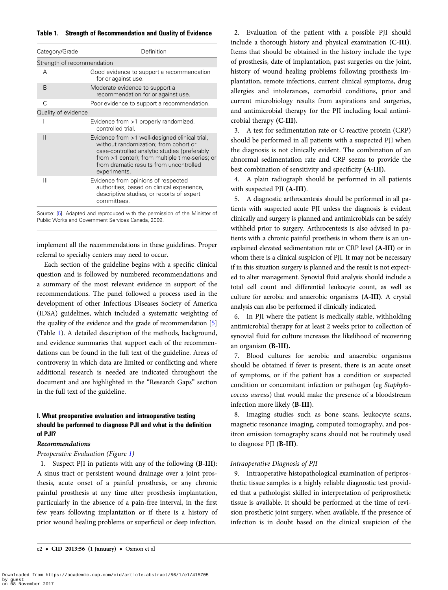#### <span id="page-1-0"></span>Table 1. Strength of Recommendation and Quality of Evidence

| Definition                                                                                                                                                                                                                                           |  |
|------------------------------------------------------------------------------------------------------------------------------------------------------------------------------------------------------------------------------------------------------|--|
| Strength of recommendation                                                                                                                                                                                                                           |  |
| Good evidence to support a recommendation<br>for or against use.                                                                                                                                                                                     |  |
| Moderate evidence to support a<br>recommendation for or against use.                                                                                                                                                                                 |  |
| Poor evidence to support a recommendation.                                                                                                                                                                                                           |  |
| Quality of evidence                                                                                                                                                                                                                                  |  |
| Evidence from >1 properly randomized,<br>controlled trial.                                                                                                                                                                                           |  |
| Evidence from >1 well-designed clinical trial,<br>without randomization; from cohort or<br>case-controlled analytic studies (preferably<br>from >1 center); from multiple time-series; or<br>from dramatic results from uncontrolled<br>experiments. |  |
| Evidence from opinions of respected<br>authorities, based on clinical experience,<br>descriptive studies, or reports of expert<br>committees.                                                                                                        |  |
|                                                                                                                                                                                                                                                      |  |

Source: [[5\]](#page-20-0). Adapted and reproduced with the permission of the Minister of Public Works and Government Services Canada, 2009.

implement all the recommendations in these guidelines. Proper referral to specialty centers may need to occur.

Each section of the guideline begins with a specific clinical question and is followed by numbered recommendations and a summary of the most relevant evidence in support of the recommendations. The panel followed a process used in the development of other Infectious Diseases Society of America (IDSA) guidelines, which included a systematic weighting of the quality of the evidence and the grade of recommendation [\[5\]](#page-20-0) (Table 1). A detailed description of the methods, background, and evidence summaries that support each of the recommendations can be found in the full text of the guideline. Areas of controversy in which data are limited or conflicting and where additional research is needed are indicated throughout the document and are highlighted in the "Research Gaps" section in the full text of the guideline.

# I. What preoperative evaluation and intraoperative testing should be performed to diagnose PJI and what is the definition of PJI?

#### Recommendations

#### Preoperative Evaluation (Figure [1\)](#page-2-0)

1. Suspect PJI in patients with any of the following (B-III): A sinus tract or persistent wound drainage over a joint prosthesis, acute onset of a painful prosthesis, or any chronic painful prosthesis at any time after prosthesis implantation, particularly in the absence of a pain-free interval, in the first few years following implantation or if there is a history of prior wound healing problems or superficial or deep infection.

2. Evaluation of the patient with a possible PJI should include a thorough history and physical examination (C-III). Items that should be obtained in the history include the type of prosthesis, date of implantation, past surgeries on the joint, history of wound healing problems following prosthesis implantation, remote infections, current clinical symptoms, drug allergies and intolerances, comorbid conditions, prior and current microbiology results from aspirations and surgeries, and antimicrobial therapy for the PJI including local antimicrobial therapy (C-III).

3. A test for sedimentation rate or C-reactive protein (CRP) should be performed in all patients with a suspected PJI when the diagnosis is not clinically evident. The combination of an abnormal sedimentation rate and CRP seems to provide the best combination of sensitivity and specificity (A-III).

4. A plain radiograph should be performed in all patients with suspected PJI (A-III).

5. A diagnostic arthrocentesis should be performed in all patients with suspected acute PJI unless the diagnosis is evident clinically and surgery is planned and antimicrobials can be safely withheld prior to surgery. Arthrocentesis is also advised in patients with a chronic painful prosthesis in whom there is an unexplained elevated sedimentation rate or CRP level (A-III) or in whom there is a clinical suspicion of PJI. It may not be necessary if in this situation surgery is planned and the result is not expected to alter management. Synovial fluid analysis should include a total cell count and differential leukocyte count, as well as culture for aerobic and anaerobic organisms (A-III). A crystal analysis can also be performed if clinically indicated.

6. In PJI where the patient is medically stable, withholding antimicrobial therapy for at least 2 weeks prior to collection of synovial fluid for culture increases the likelihood of recovering an organism (B-III).

7. Blood cultures for aerobic and anaerobic organisms should be obtained if fever is present, there is an acute onset of symptoms, or if the patient has a condition or suspected condition or concomitant infection or pathogen (eg Staphylococcus aureus) that would make the presence of a bloodstream infection more likely (B-III).

8. Imaging studies such as bone scans, leukocyte scans, magnetic resonance imaging, computed tomography, and positron emission tomography scans should not be routinely used to diagnose PJI (B-III).

#### Intraoperative Diagnosis of PJI

9. Intraoperative histopathological examination of periprosthetic tissue samples is a highly reliable diagnostic test provided that a pathologist skilled in interpretation of periprosthetic tissue is available. It should be performed at the time of revision prosthetic joint surgery, when available, if the presence of infection is in doubt based on the clinical suspicion of the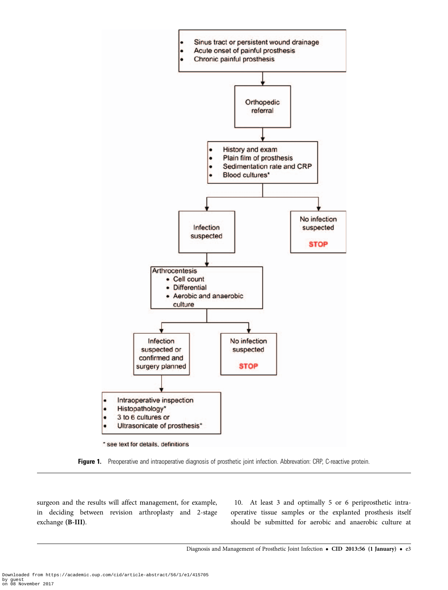<span id="page-2-0"></span>

Figure 1. Preoperative and intraoperative diagnosis of prosthetic joint infection. Abbrevation: CRP, C-reactive protein.

surgeon and the results will affect management, for example, in deciding between revision arthroplasty and 2-stage exchange (B-III).

10. At least 3 and optimally 5 or 6 periprosthetic intraoperative tissue samples or the explanted prosthesis itself should be submitted for aerobic and anaerobic culture at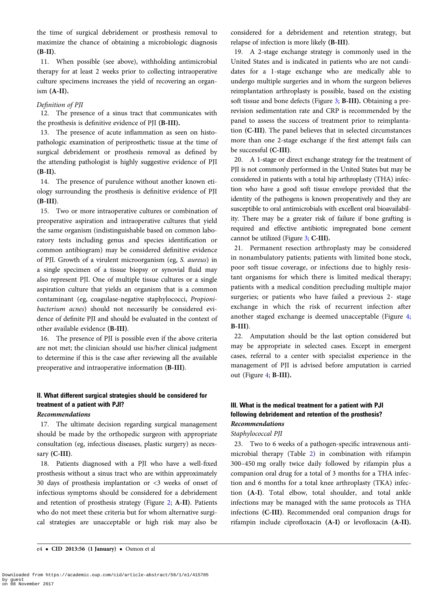the time of surgical debridement or prosthesis removal to maximize the chance of obtaining a microbiologic diagnosis (B-II).

11. When possible (see above), withholding antimicrobial therapy for at least 2 weeks prior to collecting intraoperative culture specimens increases the yield of recovering an organism (A-II).

#### Definition of PJI

12. The presence of a sinus tract that communicates with the prosthesis is definitive evidence of PJI (B-III).

13. The presence of acute inflammation as seen on histopathologic examination of periprosthetic tissue at the time of surgical debridement or prosthesis removal as defined by the attending pathologist is highly suggestive evidence of PJI  $(B-II).$ 

14. The presence of purulence without another known etiology surrounding the prosthesis is definitive evidence of PJI (B-III).

15. Two or more intraoperative cultures or combination of preoperative aspiration and intraoperative cultures that yield the same organism (indistinguishable based on common laboratory tests including genus and species identification or common antibiogram) may be considered definitive evidence of PJI. Growth of a virulent microorganism (eg, S. aureus) in a single specimen of a tissue biopsy or synovial fluid may also represent PJI. One of multiple tissue cultures or a single aspiration culture that yields an organism that is a common contaminant (eg, coagulase-negative staphylococci, Propionibacterium acnes) should not necessarily be considered evidence of definite PJI and should be evaluated in the context of other available evidence (B-III).

16. The presence of PJI is possible even if the above criteria are not met; the clinician should use his/her clinical judgment to determine if this is the case after reviewing all the available preoperative and intraoperative information (B-III).

# II. What different surgical strategies should be considered for treatment of a patient with PJI?

#### Recommendations

17. The ultimate decision regarding surgical management should be made by the orthopedic surgeon with appropriate consultation (eg, infectious diseases, plastic surgery) as necessary (C-III).

18. Patients diagnosed with a PJI who have a well-fixed prosthesis without a sinus tract who are within approximately 30 days of prosthesis implantation or <3 weeks of onset of infectious symptoms should be considered for a debridement and retention of prosthesis strategy (Figure [2](#page-4-0); A-II). Patients who do not meet these criteria but for whom alternative surgical strategies are unacceptable or high risk may also be

e4 • CID 2013:56 (1 January) • Osmon et al

considered for a debridement and retention strategy, but relapse of infection is more likely (B-III).

19. A 2-stage exchange strategy is commonly used in the United States and is indicated in patients who are not candidates for a 1-stage exchange who are medically able to undergo multiple surgeries and in whom the surgeon believes reimplantation arthroplasty is possible, based on the existing soft tissue and bone defects (Figure [3](#page-5-0); B-III). Obtaining a prerevision sedimentation rate and CRP is recommended by the panel to assess the success of treatment prior to reimplantation (C-III). The panel believes that in selected circumstances more than one 2-stage exchange if the first attempt fails can be successful (C-III).

20. A 1-stage or direct exchange strategy for the treatment of PJI is not commonly performed in the United States but may be considered in patients with a total hip arthroplasty (THA) infection who have a good soft tissue envelope provided that the identity of the pathogens is known preoperatively and they are susceptible to oral antimicrobials with excellent oral bioavailability. There may be a greater risk of failure if bone grafting is required and effective antibiotic impregnated bone cement cannot be utilized (Figure [3](#page-5-0); C-III).

21. Permanent resection arthroplasty may be considered in nonambulatory patients; patients with limited bone stock, poor soft tissue coverage, or infections due to highly resistant organisms for which there is limited medical therapy; patients with a medical condition precluding multiple major surgeries; or patients who have failed a previous 2- stage exchange in which the risk of recurrent infection after another staged exchange is deemed unacceptable (Figure [4;](#page-6-0)  $B-III$ ).

22. Amputation should be the last option considered but may be appropriate in selected cases. Except in emergent cases, referral to a center with specialist experience in the management of PJI is advised before amputation is carried out (Figure [4](#page-6-0); B-III).

# III. What is the medical treatment for a patient with PJI following debridement and retention of the prosthesis? Recommendations

# Staphylococcal PJI

23. Two to 6 weeks of a pathogen-specific intravenous antimicrobial therapy (Table [2\)](#page-7-0) in combination with rifampin 300–450 mg orally twice daily followed by rifampin plus a companion oral drug for a total of 3 months for a THA infection and 6 months for a total knee arthroplasty (TKA) infection (A-I). Total elbow, total shoulder, and total ankle infections may be managed with the same protocols as THA infections (C-III). Recommended oral companion drugs for rifampin include ciprofloxacin (A-I) or levofloxacin (A-II).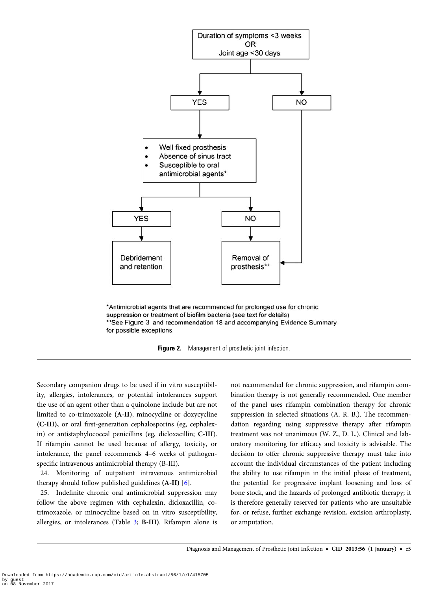<span id="page-4-0"></span>

\*Antimicrobial agents that are recommended for prolonged use for chronic suppression or treatment of biofilm bacteria (see text for details) \*\*See Figure 3 and recommendation 18 and accompanying Evidence Summary for possible exceptions



Secondary companion drugs to be used if in vitro susceptibility, allergies, intolerances, or potential intolerances support the use of an agent other than a quinolone include but are not limited to co-trimoxazole (A-II), minocycline or doxycycline (C-III), or oral first-generation cephalosporins (eg, cephalexin) or antistaphylococcal penicillins (eg, dicloxacillin; C-III). If rifampin cannot be used because of allergy, toxicity, or intolerance, the panel recommends 4–6 weeks of pathogenspecific intravenous antimicrobial therapy (B-III).

24. Monitoring of outpatient intravenous antimicrobial therapy should follow published guidelines (A-II) [\[6\]](#page-20-0).

25. Indefinite chronic oral antimicrobial suppression may follow the above regimen with cephalexin, dicloxacillin, cotrimoxazole, or minocycline based on in vitro susceptibility, allergies, or intolerances (Table [3](#page-9-0); B-III). Rifampin alone is

not recommended for chronic suppression, and rifampin combination therapy is not generally recommended. One member of the panel uses rifampin combination therapy for chronic suppression in selected situations (A. R. B.). The recommendation regarding using suppressive therapy after rifampin treatment was not unanimous (W. Z., D. L.). Clinical and laboratory monitoring for efficacy and toxicity is advisable. The decision to offer chronic suppressive therapy must take into account the individual circumstances of the patient including the ability to use rifampin in the initial phase of treatment, the potential for progressive implant loosening and loss of bone stock, and the hazards of prolonged antibiotic therapy; it is therefore generally reserved for patients who are unsuitable for, or refuse, further exchange revision, excision arthroplasty, or amputation.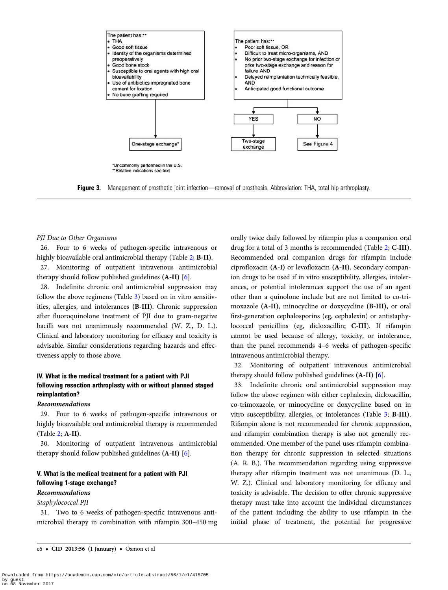<span id="page-5-0"></span>

Figure 3. Management of prosthetic joint infection—removal of prosthesis. Abbreviation: THA, total hip arthroplasty.

#### PJI Due to Other Organisms

26. Four to 6 weeks of pathogen-specific intravenous or highly bioavailable oral antimicrobial therapy (Table [2;](#page-7-0) B-II).

27. Monitoring of outpatient intravenous antimicrobial therapy should follow published guidelines (A-II) [\[6\]](#page-20-0).

28. Indefinite chronic oral antimicrobial suppression may follow the above regimens (Table [3\)](#page-9-0) based on in vitro sensitivities, allergies, and intolerances (B-III). Chronic suppression after fluoroquinolone treatment of PJI due to gram-negative bacilli was not unanimously recommended (W. Z., D. L.). Clinical and laboratory monitoring for efficacy and toxicity is advisable. Similar considerations regarding hazards and effectiveness apply to those above.

# IV. What is the medical treatment for a patient with PJI following resection arthroplasty with or without planned staged reimplantation?

#### Recommendations

29. Four to 6 weeks of pathogen-specific intravenous or highly bioavailable oral antimicrobial therapy is recommended (Table [2](#page-7-0); A-II).

30. Monitoring of outpatient intravenous antimicrobial therapy should follow published guidelines (A-II) [\[6\]](#page-20-0).

# V. What is the medical treatment for a patient with PJI following 1-stage exchange?

# Recommendations

Staphylococcal PJI

31. Two to 6 weeks of pathogen-specific intravenous antimicrobial therapy in combination with rifampin 300–450 mg orally twice daily followed by rifampin plus a companion oral drug for a total of 3 months is recommended (Table [2](#page-7-0); C-III). Recommended oral companion drugs for rifampin include ciprofloxacin (A-I) or levofloxacin (A-II). Secondary companion drugs to be used if in vitro susceptibility, allergies, intolerances, or potential intolerances support the use of an agent other than a quinolone include but are not limited to co-trimoxazole (A-II), minocycline or doxycycline (B-III), or oral first-generation cephalosporins (eg, cephalexin) or antistaphylococcal penicillins (eg, dicloxacillin; C-III). If rifampin cannot be used because of allergy, toxicity, or intolerance, than the panel recommends 4–6 weeks of pathogen-specific intravenous antimicrobial therapy.

32. Monitoring of outpatient intravenous antimicrobial therapy should follow published guidelines  $(A-II)$  [\[6\]](#page-20-0).

33. Indefinite chronic oral antimicrobial suppression may follow the above regimen with either cephalexin, dicloxacillin, co-trimoxazole, or minocycline or doxycycline based on in vitro susceptibility, allergies, or intolerances (Table [3;](#page-9-0) B-III). Rifampin alone is not recommended for chronic suppression, and rifampin combination therapy is also not generally recommended. One member of the panel uses rifampin combination therapy for chronic suppression in selected situations (A. R. B.). The recommendation regarding using suppressive therapy after rifampin treatment was not unanimous (D. L., W. Z.). Clinical and laboratory monitoring for efficacy and toxicity is advisable. The decision to offer chronic suppressive therapy must take into account the individual circumstances of the patient including the ability to use rifampin in the initial phase of treatment, the potential for progressive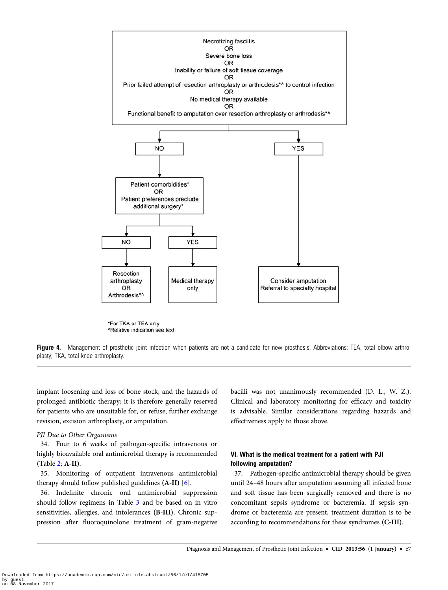<span id="page-6-0"></span>

^Relative indication see text



implant loosening and loss of bone stock, and the hazards of prolonged antibiotic therapy; it is therefore generally reserved for patients who are unsuitable for, or refuse, further exchange revision, excision arthroplasty, or amputation.

#### PJI Due to Other Organisms

34. Four to 6 weeks of pathogen-specific intravenous or highly bioavailable oral antimicrobial therapy is recommended (Table [2](#page-7-0); A-II).

35. Monitoring of outpatient intravenous antimicrobial therapy should follow published guidelines (A-II) [\[6\]](#page-20-0).

36. Indefinite chronic oral antimicrobial suppression should follow regimens in Table [3](#page-9-0) and be based on in vitro sensitivities, allergies, and intolerances (B-III). Chronic suppression after fluoroquinolone treatment of gram-negative bacilli was not unanimously recommended (D. L., W. Z.). Clinical and laboratory monitoring for efficacy and toxicity is advisable. Similar considerations regarding hazards and effectiveness apply to those above.

# VI. What is the medical treatment for a patient with PJI following amputation?

37. Pathogen-specific antimicrobial therapy should be given until 24–48 hours after amputation assuming all infected bone and soft tissue has been surgically removed and there is no concomitant sepsis syndrome or bacteremia. If sepsis syndrome or bacteremia are present, treatment duration is to be according to recommendations for these syndromes (C-III).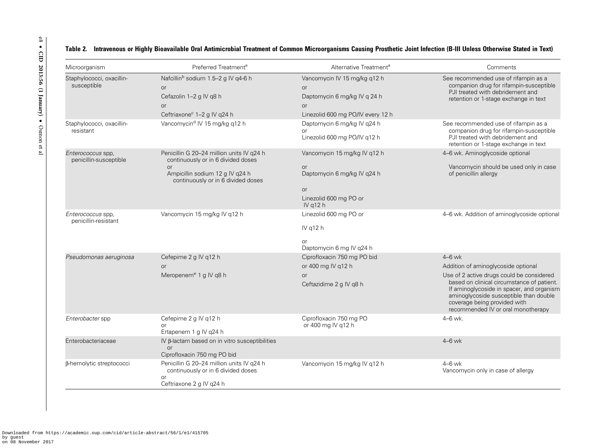| Microorganism                               | Preferred Treatment <sup>a</sup>                                                                                                                               | Alternative Treatment <sup>a</sup>                                                                                            | Comments                                                                                                                                                                                                                                                                                                |
|---------------------------------------------|----------------------------------------------------------------------------------------------------------------------------------------------------------------|-------------------------------------------------------------------------------------------------------------------------------|---------------------------------------------------------------------------------------------------------------------------------------------------------------------------------------------------------------------------------------------------------------------------------------------------------|
| Staphylococci, oxacillin-<br>susceptible    | Nafcillin <sup>b</sup> sodium 1.5-2 g IV q4-6 h<br>or<br>Cefazolin 1-2 g IV q8 h<br><b>or</b><br>Ceftriaxone <sup>c</sup> 1-2 g IV q24 h                       | Vancomycin IV 15 mg/kg q12 h<br><b>or</b><br>Daptomycin 6 mg/kg IV q 24 h<br>or<br>Linezolid 600 mg PO/IV every 12 h          | See recommended use of rifampin as a<br>companion drug for rifampin-susceptible<br>PJI treated with debridement and<br>retention or 1-stage exchange in text                                                                                                                                            |
| Staphylococci, oxacillin-<br>resistant      | Vancomycin <sup>d</sup> IV 15 mg/kg q12 h                                                                                                                      | Daptomycin 6 mg/kg IV q24 h<br>0r<br>Linezolid 600 mg PO/IV q12 h                                                             | See recommended use of rifampin as a<br>companion drug for rifampin-susceptible<br>PJI treated with debridement and<br>retention or 1-stage exchange in text                                                                                                                                            |
| Enterococcus spp,<br>penicillin-susceptible | Penicillin G 20-24 million units IV g24 h<br>continuously or in 6 divided doses<br>or<br>Ampicillin sodium 12 g IV q24 h<br>continuously or in 6 divided doses | Vancomycin 15 mg/kg IV g12 h<br><b>or</b><br>Daptomycin 6 mg/kg IV q24 h<br><b>or</b><br>Linezolid 600 mg PO or<br>IV $q12$ h | 4-6 wk. Aminoglycoside optional<br>Vancomycin should be used only in case<br>of penicillin allergy                                                                                                                                                                                                      |
| Enterococcus spp,<br>penicillin-resistant   | Vancomycin 15 mg/kg IV g12 h                                                                                                                                   | Linezolid 600 mg PO or<br>IV q12 h<br>Daptomycin 6 mg IV q24 h                                                                | 4-6 wk. Addition of aminoglycoside optional                                                                                                                                                                                                                                                             |
| Pseudomonas aeruginosa                      | Cefepime 2 g IV q12 h<br>$\alpha$<br>Meropenem <sup>e</sup> 1 g IV g8 h                                                                                        | Ciprofloxacin 750 mg PO bid<br>or 400 mg IV q12 h<br>or<br>Ceftazidime 2 g IV q8 h                                            | $4-6$ wk<br>Addition of aminoglycoside optional<br>Use of 2 active drugs could be considered<br>based on clinical circumstance of patient.<br>If aminoglycoside in spacer, and organism<br>aminoglycoside susceptible than double<br>coverage being provided with<br>recommended IV or oral monotherapy |
| Enterobacter spp                            | Cefepime 2 g IV q12 h<br>or<br>Ertapenem 1 g IV q24 h                                                                                                          | Ciprofloxacin 750 mg PO<br>or 400 mg IV g12 h                                                                                 | 4-6 wk.                                                                                                                                                                                                                                                                                                 |
| Enterobacteriaceae                          | IV β-lactam based on in vitro susceptibilities<br><b>or</b><br>Ciprofloxacin 750 mg PO bid                                                                     |                                                                                                                               | $4-6$ wk                                                                                                                                                                                                                                                                                                |
| β-hemolytic streptococci                    | Penicillin G 20-24 million units IV g24 h<br>continuously or in 6 divided doses<br>or<br>Ceftriaxone 2 g IV q24 h                                              | Vancomycin 15 mg/kg IV q12 h                                                                                                  | $4-6$ wk<br>Vancomycin only in case of allergy                                                                                                                                                                                                                                                          |

<span id="page-7-0"></span>Table 2. Intravenous or Highly Bioavailable Oral Antimicrobial Treatment of Common Microorganisms Causing Prosthetic Joint Infection (B-III Unless Otherwise Stated in Text)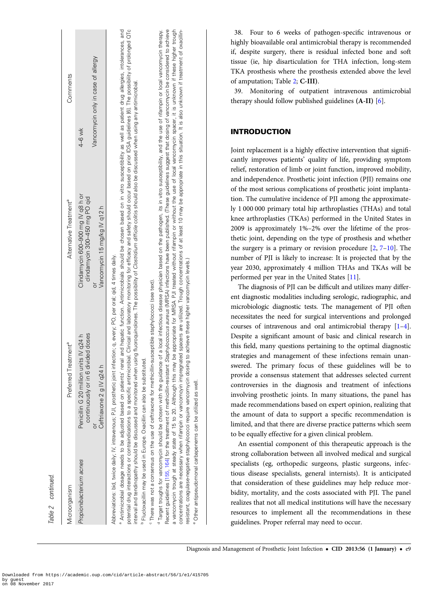| ¢ |
|---|

| Microorganism                                                             | Preferred Treatment <sup>a</sup>                                                                                                    | Alternative Treatment <sup>a</sup>                                                                                                                                                               | Comments                                                                                                                                                                                                                                                                                                                                                                        |
|---------------------------------------------------------------------------|-------------------------------------------------------------------------------------------------------------------------------------|--------------------------------------------------------------------------------------------------------------------------------------------------------------------------------------------------|---------------------------------------------------------------------------------------------------------------------------------------------------------------------------------------------------------------------------------------------------------------------------------------------------------------------------------------------------------------------------------|
| Propionibacterium acnes                                                   | divided doses<br>Penicillin G 20 million units IV g24 h<br>Ceftriaxone 2 g IV q24<br>continuously or in 6                           | Clindamycin 600–900 mg IV q8 h or<br>clindamycin 300-450 mg PO qid<br>Vancomycin 15 mg/kg IV q12 h                                                                                               | Vancomycin only in case of allergy<br>4–6 wk                                                                                                                                                                                                                                                                                                                                    |
| <sup>a</sup> Antimicrobial dosage needs to be adjusted based on patients' | infection; q, every; PO, per oral; qid, 4 times daily.<br>Abbreviations: bid, twice daily; IV, intravenous; PJI, prosthetic joint i | interval and tendinopathy should be discussed and monitored when using fluoroquinolones. The possibility of Clostridium difficile colitis should also be discussed when using any antimicrobial. | renal and hepatic function. Antimicrobials should be chosen based on in vitro susceptibility as well as patient drug allergies, intolerances, and<br>potential drug interactions or contraindications to a specific antimicroisal clinical and laboratory monitoring for efficacy and safety should occur based on prior IDSA guidelines [6]. The possibility of prolonged OT o |

<sup>c</sup> There was not a consensus on the use of ceftriaxone for methicillin-susceptible staphylococci (see text). There was not a consensus on the use of ceftriaxone for methicillin-susceptible staphylococci (see text).

<sup>b</sup> Flucloxacillin may be used in Europe. Oxacillin can also be substituted Flucloxacillin may be used in Europe. Oxacillin can also be substituted.

methicillin-resistant *Staphylococcus aureus* (MRSA) infections have been published. (These guidelines suggest that dosing of vancomycin be considered to achieve <sup>d</sup> Target troughs for vancomycin should be chosen with the guidance of a local infectious disease physician based on the pathogen, its in vitro susceptibility, and the use of rifampin or local vancomycin therapy <sup>9</sup> Target troughs for vancomycin should be chosen with the guidance of a local infectious disease physician based on the pathogen, its in vitro susceptibility, and the use of rifampin or local vancomycin therapy. Recent guidelines [[155](#page-23-0), [164](#page-24-0)] for the treatment of methicillin-resistant Staphylococcus aureus (MRSA) infections have been published. (These guidelines suggest that dosing of vancomycin be considered to achieve a vancomycin trough at steady state of 15 to 20. Although this may be appropriate for MRSA PJI treated without fiampin or without the use of local vancomycin spacer, it is unknown if these higher trough a vancomycin trough at steady state of 15 to 20. Although this may be appropriate for MRSA PJI treated without fiampin or without the use of local vancomycin spacer, it is unknown if these higher trough be appropriate in this situation. It is also unknown if treatment of oxacillinconcentrations are necessary when rifampin or vancomcyin impregnated spacers are utilized. Trough concentrations of at least 10 may be appropriate in this situation. It is also unknown if treatment of oxacillinconcentrations are necessary when rifampin or vancomcyin impregnated spacers are utilized. Trough concentrations of at least 10 may require vancomycin dosing to achieve these higher vancomycin levels.) resistant, coagulase-negative staphylococci require vancomycin dosing to achieve these higher vancomycin levels.)  $\overline{\circ}$ the treatment resistant, coagulase-negative staphylococci  $\overline{10}$ 155, 164) Recent guidelines [1

<sup>e</sup> Other antipseudomonal carbapenems can be utilized as well Other antipseudomonal carbapenems can be utilized as well.

38. Four to 6 weeks of pathogen-specific intravenous or highly bioavailable oral antimicrobial therapy is recommended if, despite surgery, there is residual infected bone and soft tissue (ie, hip disarticulation for THA infection, long-stem TKA prosthesis where the prosthesis extended above the level of amputation; Table [2;](#page-7-0) C-III).

39. Monitoring of outpatient intravenous antimicrobial therapy should follow published guidelines (A-II) [\[6\]](#page-20-0).

# INTRODUCTION

Joint replacement is a highly effective intervention that significantly improves patients' quality of life, providing symptom relief, restoration of limb or joint function, improved mobility, and independence. Prosthetic joint infection (PJI) remains one of the most serious complications of prosthetic joint implantation. The cumulative incidence of PJI among the approximately 1 000 000 primary total hip arthroplasties (THAs) and total knee arthroplasties (TKAs) performed in the United States in 2009 is approximately 1%–2% over the lifetime of the prosthetic joint, depending on the type of prosthesis and whether the surgery is a primary or revision procedure  $[2, 7-10]$  $[2, 7-10]$  $[2, 7-10]$  $[2, 7-10]$  $[2, 7-10]$  $[2, 7-10]$ . The number of PJI is likely to increase: It is projected that by the year 2030, approximately 4 million THAs and TKAs will be performed per year in the United States [[11\]](#page-20-0).

The diagnosis of PJI can be difficult and utilizes many different diagnostic modalities including serologic, radiographic, and microbiologic diagnostic tests. The management of PJI often necessitates the need for surgical interventions and prolonged courses of intravenous and oral antimicrobial therapy [\[1](#page-20-0)–[4\]](#page-20-0). Despite a significant amount of basic and clinical research in this field, many questions pertaining to the optimal diagnostic strategies and management of these infections remain unanswered. The primary focus of these guidelines will be to provide a consensus statement that addresses selected current controversies in the diagnosis and treatment of infections involving prosthetic joints. In many situations, the panel has made recommendations based on expert opinion, realizing that the amount of data to support a specific recommendation is limited, and that there are diverse practice patterns which seem to be equally effective for a given clinical problem.

An essential component of this therapeutic approach is the strong collaboration between all involved medical and surgical specialists (eg, orthopedic surgeons, plastic surgeons, infectious disease specialists, general internists). It is anticipated that consideration of these guidelines may help reduce morbidity, mortality, and the costs associated with PJI. The panel realizes that not all medical institutions will have the necessary resources to implement all the recommendations in these guidelines. Proper referral may need to occur.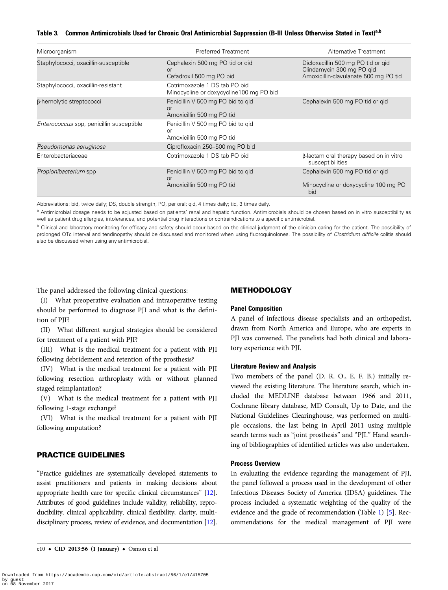#### <span id="page-9-0"></span>Table 3. Common Antimicrobials Used for Chronic Oral Antimicrobial Suppression (B-III Unless Otherwise Stated in Text)<sup>a,b</sup>

| Microorganism                                   | <b>Preferred Treatment</b>                                                 | Alternative Treatment                                                                                    |
|-------------------------------------------------|----------------------------------------------------------------------------|----------------------------------------------------------------------------------------------------------|
| Staphylococci, oxacillin-susceptible            | Cephalexin 500 mg PO tid or gid<br>$\alpha$<br>Cefadroxil 500 mg PO bid    | Dicloxacillin 500 mg PO tid or gid<br>Clindamycin 300 mg PO gid<br>Amoxicillin-clavulanate 500 mg PO tid |
| Staphylococci, oxacillin-resistant              | Cotrimoxazole 1 DS tab PO bid<br>Minocycline or doxycycline 100 mg PO bid  |                                                                                                          |
| β-hemolytic streptococci                        | Penicillin V 500 mg PO bid to gid<br>or<br>Amoxicillin 500 mg PO tid       | Cephalexin 500 mg PO tid or gid                                                                          |
| <i>Enterococcus</i> spp, penicillin susceptible | Penicillin V 500 mg PO bid to gid<br>or<br>Amoxicillin 500 mg PO tid       |                                                                                                          |
| Pseudomonas aeruginosa                          | Ciprofloxacin 250-500 mg PO bid                                            |                                                                                                          |
| Enterobacteriaceae                              | Cotrimoxazole 1 DS tab PO bid                                              | B-lactam oral therapy based on in vitro<br>susceptibilities                                              |
| Propionibacterium spp                           | Penicillin V 500 mg PO bid to gid<br>$\alpha$<br>Amoxicillin 500 mg PO tid | Cephalexin 500 mg PO tid or gid<br>Minocycline or doxycycline 100 mg PO<br>bid                           |

Abbreviations: bid, twice daily; DS, double strength; PO, per oral; qid, 4 times daily; tid, 3 times daily.

a Antimicrobial dosage needs to be adjusted based on patients' renal and hepatic function. Antimicrobials should be chosen based on in vitro susceptibility as well as patient drug allergies, intolerances, and potential drug interactions or contraindications to a specific antimicrobial.

<sup>b</sup> Clinical and laboratory monitoring for efficacy and safety should occur based on the clinical judgment of the clinician caring for the patient. The possibility of prolonged QTc interval and tendinopathy should be discussed and monitored when using fluoroquinolones. The possibility of Clostridium difficile colitis should also be discussed when using any antimicrobial.

The panel addressed the following clinical questions:

(I) What preoperative evaluation and intraoperative testing should be performed to diagnose PJI and what is the definition of PJI?

(II) What different surgical strategies should be considered for treatment of a patient with PJI?

(III) What is the medical treatment for a patient with PJI following debridement and retention of the prosthesis?

(IV) What is the medical treatment for a patient with PJI following resection arthroplasty with or without planned staged reimplantation?

(V) What is the medical treatment for a patient with PJI following 1-stage exchange?

(VI) What is the medical treatment for a patient with PJI following amputation?

# PRACTICE GUIDELINES

"Practice guidelines are systematically developed statements to assist practitioners and patients in making decisions about appropriate health care for specific clinical circumstances" [\[12\]](#page-20-0). Attributes of good guidelines include validity, reliability, reproducibility, clinical applicability, clinical flexibility, clarity, multidisciplinary process, review of evidence, and documentation [\[12\]](#page-20-0).

#### e10 • CID 2013:56 (1 January) • Osmon et al

#### **METHODOLOGY**

#### Panel Composition

A panel of infectious disease specialists and an orthopedist, drawn from North America and Europe, who are experts in PJI was convened. The panelists had both clinical and laboratory experience with PJI.

#### Literature Review and Analysis

Two members of the panel (D. R. O., E. F. B.) initially reviewed the existing literature. The literature search, which included the MEDLINE database between 1966 and 2011, Cochrane library database, MD Consult, Up to Date, and the National Guidelines Clearinghouse, was performed on multiple occasions, the last being in April 2011 using multiple search terms such as "joint prosthesis" and "PJI." Hand searching of bibliographies of identified articles was also undertaken.

#### Process Overview

In evaluating the evidence regarding the management of PJI, the panel followed a process used in the development of other Infectious Diseases Society of America (IDSA) guidelines. The process included a systematic weighting of the quality of the evidence and the grade of recommendation (Table [1\)](#page-1-0) [\[5\]](#page-20-0). Recommendations for the medical management of PJI were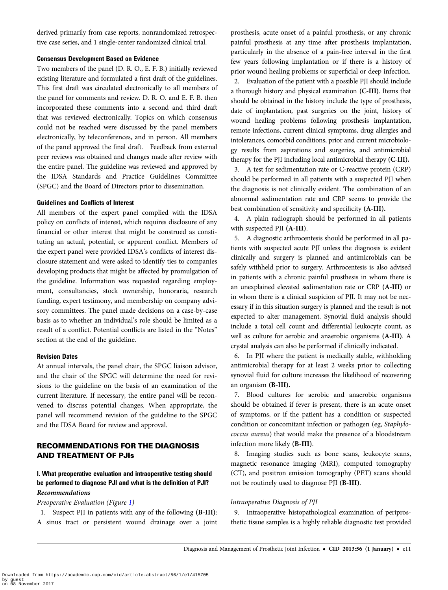derived primarily from case reports, nonrandomized retrospective case series, and 1 single-center randomized clinical trial.

#### Consensus Development Based on Evidence

Two members of the panel (D. R. O., E. F. B.) initially reviewed existing literature and formulated a first draft of the guidelines. This first draft was circulated electronically to all members of the panel for comments and review. D. R. O. and E. F. B. then incorporated these comments into a second and third draft that was reviewed electronically. Topics on which consensus could not be reached were discussed by the panel members electronically, by teleconferences, and in person. All members of the panel approved the final draft. Feedback from external peer reviews was obtained and changes made after review with the entire panel. The guideline was reviewed and approved by the IDSA Standards and Practice Guidelines Committee (SPGC) and the Board of Directors prior to dissemination.

#### Guidelines and Conflicts of Interest

All members of the expert panel complied with the IDSA policy on conflicts of interest, which requires disclosure of any financial or other interest that might be construed as constituting an actual, potential, or apparent conflict. Members of the expert panel were provided IDSA's conflicts of interest disclosure statement and were asked to identify ties to companies developing products that might be affected by promulgation of the guideline. Information was requested regarding employment, consultancies, stock ownership, honoraria, research funding, expert testimony, and membership on company advisory committees. The panel made decisions on a case-by-case basis as to whether an individual's role should be limited as a result of a conflict. Potential conflicts are listed in the "Notes" section at the end of the guideline.

#### Revision Dates

At annual intervals, the panel chair, the SPGC liaison advisor, and the chair of the SPGC will determine the need for revisions to the guideline on the basis of an examination of the current literature. If necessary, the entire panel will be reconvened to discuss potential changes. When appropriate, the panel will recommend revision of the guideline to the SPGC and the IDSA Board for review and approval.

# RECOMMENDATIONS FOR THE DIAGNOSIS AND TREATMENT OF PJIs

# I. What preoperative evaluation and intraoperative testing should be performed to diagnose PJI and what is the definition of PJI? Recommendations

Preoperative Evaluation (Figure [1\)](#page-2-0)

1. Suspect PJI in patients with any of the following (B-III): A sinus tract or persistent wound drainage over a joint prosthesis, acute onset of a painful prosthesis, or any chronic painful prosthesis at any time after prosthesis implantation, particularly in the absence of a pain-free interval in the first few years following implantation or if there is a history of prior wound healing problems or superficial or deep infection.

2. Evaluation of the patient with a possible PJI should include a thorough history and physical examination (C-III). Items that should be obtained in the history include the type of prosthesis, date of implantation, past surgeries on the joint, history of wound healing problems following prosthesis implantation, remote infections, current clinical symptoms, drug allergies and intolerances, comorbid conditions, prior and current microbiology results from aspirations and surgeries, and antimicrobial therapy for the PJI including local antimicrobial therapy (C-III).

3. A test for sedimentation rate or C-reactive protein (CRP) should be performed in all patients with a suspected PJI when the diagnosis is not clinically evident. The combination of an abnormal sedimentation rate and CRP seems to provide the best combination of sensitivity and specificity (A-III).

4. A plain radiograph should be performed in all patients with suspected PJI (A-III).

5. A diagnostic arthrocentesis should be performed in all patients with suspected acute PJI unless the diagnosis is evident clinically and surgery is planned and antimicrobials can be safely withheld prior to surgery. Arthrocentesis is also advised in patients with a chronic painful prosthesis in whom there is an unexplained elevated sedimentation rate or CRP (A-III) or in whom there is a clinical suspicion of PJI. It may not be necessary if in this situation surgery is planned and the result is not expected to alter management. Synovial fluid analysis should include a total cell count and differential leukocyte count, as well as culture for aerobic and anaerobic organisms (A-III). A crystal analysis can also be performed if clinically indicated.

6. In PJI where the patient is medically stable, withholding antimicrobial therapy for at least 2 weeks prior to collecting synovial fluid for culture increases the likelihood of recovering an organism (B-III).

7. Blood cultures for aerobic and anaerobic organisms should be obtained if fever is present, there is an acute onset of symptoms, or if the patient has a condition or suspected condition or concomitant infection or pathogen (eg, Staphylococcus aureus) that would make the presence of a bloodstream infection more likely (B-III).

8. Imaging studies such as bone scans, leukocyte scans, magnetic resonance imaging (MRI), computed tomography (CT), and positron emission tomography (PET) scans should not be routinely used to diagnose PJI (B-III).

#### Intraoperative Diagnosis of PJI

9. Intraoperative histopathological examination of periprosthetic tissue samples is a highly reliable diagnostic test provided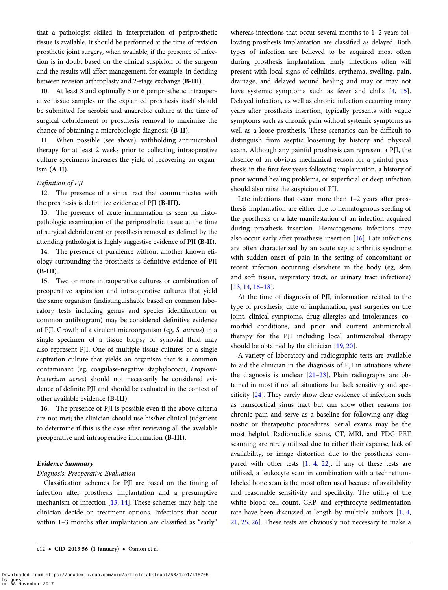that a pathologist skilled in interpretation of periprosthetic tissue is available. It should be performed at the time of revision prosthetic joint surgery, when available, if the presence of infection is in doubt based on the clinical suspicion of the surgeon and the results will affect management, for example, in deciding between revision arthroplasty and 2-stage exchange (B-III).

10. At least 3 and optimally 5 or 6 periprosthetic intraoperative tissue samples or the explanted prosthesis itself should be submitted for aerobic and anaerobic culture at the time of surgical debridement or prosthesis removal to maximize the chance of obtaining a microbiologic diagnosis (B-II).

11. When possible (see above), withholding antimicrobial therapy for at least 2 weeks prior to collecting intraoperative culture specimens increases the yield of recovering an organism (A-II).

#### Definition of PJI

12. The presence of a sinus tract that communicates with the prosthesis is definitive evidence of PJI (B-III).

13. The presence of acute inflammation as seen on histopathologic examination of the periprosthetic tissue at the time of surgical debridement or prosthesis removal as defined by the attending pathologist is highly suggestive evidence of PJI (B-II).

14. The presence of purulence without another known etiology surrounding the prosthesis is definitive evidence of PJI (B-III).

15. Two or more intraoperative cultures or combination of preoperative aspiration and intraoperative cultures that yield the same organism (indistinguishable based on common laboratory tests including genus and species identification or common antibiogram) may be considered definitive evidence of PJI. Growth of a virulent microorganism (eg, S. aureus) in a single specimen of a tissue biopsy or synovial fluid may also represent PJI. One of multiple tissue cultures or a single aspiration culture that yields an organism that is a common contaminant (eg, coagulase-negative staphylococci, Propionibacterium acnes) should not necessarily be considered evidence of definite PJI and should be evaluated in the context of other available evidence (B-III).

16. The presence of PJI is possible even if the above criteria are not met; the clinician should use his/her clinical judgment to determine if this is the case after reviewing all the available preoperative and intraoperative information (B-III).

#### Evidence Summary

#### Diagnosis: Preoperative Evaluation

Classification schemes for PJI are based on the timing of infection after prosthesis implantation and a presumptive mechanism of infection [\[13,](#page-20-0) [14](#page-20-0)]. These schemes may help the clinician decide on treatment options. Infections that occur within 1–3 months after implantation are classified as "early"

whereas infections that occur several months to 1–2 years following prosthesis implantation are classified as delayed. Both types of infection are believed to be acquired most often during prosthesis implantation. Early infections often will present with local signs of cellulitis, erythema, swelling, pain, drainage, and delayed wound healing and may or may not have systemic symptoms such as fever and chills [[4,](#page-20-0) [15\]](#page-20-0). Delayed infection, as well as chronic infection occurring many years after prosthesis insertion, typically presents with vague symptoms such as chronic pain without systemic symptoms as well as a loose prosthesis. These scenarios can be difficult to distinguish from aseptic loosening by history and physical exam. Although any painful prosthesis can represent a PJI, the absence of an obvious mechanical reason for a painful prosthesis in the first few years following implantation, a history of prior wound healing problems, or superficial or deep infection should also raise the suspicion of PJI.

Late infections that occur more than 1–2 years after prosthesis implantation are either due to hematogenous seeding of the prosthesis or a late manifestation of an infection acquired during prosthesis insertion. Hematogenous infections may also occur early after prosthesis insertion [[16\]](#page-20-0). Late infections are often characterized by an acute septic arthritis syndrome with sudden onset of pain in the setting of concomitant or recent infection occurring elsewhere in the body (eg, skin and soft tissue, respiratory tract, or urinary tract infections) [\[13](#page-20-0), [14](#page-20-0), [16](#page-20-0)–[18\]](#page-20-0).

At the time of diagnosis of PJI, information related to the type of prosthesis, date of implantation, past surgeries on the joint, clinical symptoms, drug allergies and intolerances, comorbid conditions, and prior and current antimicrobial therapy for the PJI including local antimicrobial therapy should be obtained by the clinician [[19,](#page-20-0) [20](#page-20-0)].

A variety of laboratory and radiographic tests are available to aid the clinician in the diagnosis of PJI in situations where the diagnosis is unclear [\[21](#page-20-0)–[23\]](#page-20-0). Plain radiographs are obtained in most if not all situations but lack sensitivity and specificity [\[24\]](#page-20-0). They rarely show clear evidence of infection such as transcortical sinus tract but can show other reasons for chronic pain and serve as a baseline for following any diagnostic or therapeutic procedures. Serial exams may be the most helpful. Radionuclide scans, CT, MRI, and FDG PET scanning are rarely utilized due to either their expense, lack of availability, or image distortion due to the prosthesis compared with other tests [\[1,](#page-20-0) [4,](#page-20-0) [22\]](#page-20-0). If any of these tests are utilized, a leukocyte scan in combination with a technetiumlabeled bone scan is the most often used because of availability and reasonable sensitivity and specificity. The utility of the white blood cell count, CRP, and erythrocyte sedimentation rate have been discussed at length by multiple authors [[1](#page-20-0), [4,](#page-20-0) [21](#page-20-0), [25,](#page-20-0) [26\]](#page-20-0). These tests are obviously not necessary to make a

e12 • CID 2013:56 (1 January) • Osmon et al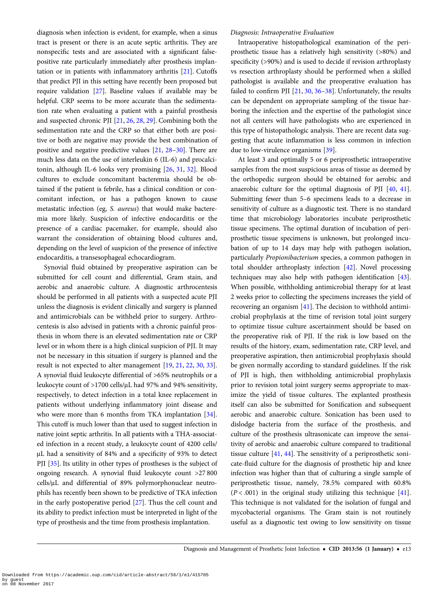diagnosis when infection is evident, for example, when a sinus tract is present or there is an acute septic arthritis. They are nonspecific tests and are associated with a significant falsepositive rate particularly immediately after prosthesis implantation or in patients with inflammatory arthritis [[21\]](#page-20-0). Cutoffs that predict PJI in this setting have recently been proposed but require validation [[27\]](#page-20-0). Baseline values if available may be helpful. CRP seems to be more accurate than the sedimentation rate when evaluating a patient with a painful prosthesis and suspected chronic PJI [\[21](#page-20-0), [26](#page-20-0), [28,](#page-20-0) [29\]](#page-20-0). Combining both the sedimentation rate and the CRP so that either both are positive or both are negative may provide the best combination of positive and negative predictive values [\[21](#page-20-0), [28](#page-20-0)–[30](#page-20-0)]. There are much less data on the use of interleukin 6 (IL-6) and procalcitonin, although IL-6 looks very promising [[26,](#page-20-0) [31,](#page-20-0) [32\]](#page-20-0). Blood cultures to exclude concomitant bacteremia should be obtained if the patient is febrile, has a clinical condition or concomitant infection, or has a pathogen known to cause metastatic infection (eg, S. aureus) that would make bacteremia more likely. Suspicion of infective endocarditis or the presence of a cardiac pacemaker, for example, should also warrant the consideration of obtaining blood cultures and, depending on the level of suspicion of the presence of infective endocarditis, a transesophageal echocardiogram.

Synovial fluid obtained by preoperative aspiration can be submitted for cell count and differential, Gram stain, and aerobic and anaerobic culture. A diagnostic arthrocentesis should be performed in all patients with a suspected acute PJI unless the diagnosis is evident clinically and surgery is planned and antimicrobials can be withheld prior to surgery. Arthrocentesis is also advised in patients with a chronic painful prosthesis in whom there is an elevated sedimentation rate or CRP level or in whom there is a high clinical suspicion of PJI. It may not be necessary in this situation if surgery is planned and the result is not expected to alter management [\[19](#page-20-0), [21,](#page-20-0) [22,](#page-20-0) [30](#page-20-0), [33\]](#page-20-0). A synovial fluid leukocyte differential of >65% neutrophils or a leukocyte count of >1700 cells/μL had 97% and 94% sensitivity, respectively, to detect infection in a total knee replacement in patients without underlying inflammatory joint disease and who were more than 6 months from TKA implantation [[34\]](#page-20-0). This cutoff is much lower than that used to suggest infection in native joint septic arthritis. In all patients with a THA-associated infection in a recent study, a leukocyte count of 4200 cells/ μL had a sensitivity of 84% and a specificity of 93% to detect PJI [[35\]](#page-20-0). Its utility in other types of prostheses is the subject of ongoing research. A synovial fluid leukocyte count >27 800 cells/μL and differential of 89% polymorphonuclear neutrophils has recently been shown to be predictive of TKA infection in the early postoperative period [\[27](#page-20-0)]. Thus the cell count and its ability to predict infection must be interpreted in light of the type of prosthesis and the time from prosthesis implantation.

#### Diagnosis: Intraoperative Evaluation

Intraoperative histopathological examination of the periprosthetic tissue has a relatively high sensitivity (>80%) and specificity (>90%) and is used to decide if revision arthroplasty vs resection arthroplasty should be performed when a skilled pathologist is available and the preoperative evaluation has failed to confirm PJI [\[21,](#page-20-0) [30,](#page-20-0) [36](#page-20-0)–[38](#page-21-0)]. Unfortunately, the results can be dependent on appropriate sampling of the tissue harboring the infection and the expertise of the pathologist since not all centers will have pathologists who are experienced in this type of histopathologic analysis. There are recent data suggesting that acute inflammation is less common in infection due to low-virulence organisms [[39\]](#page-21-0).

At least 3 and optimally 5 or 6 periprosthetic intraoperative samples from the most suspicious areas of tissue as deemed by the orthopedic surgeon should be obtained for aerobic and anaerobic culture for the optimal diagnosis of PJI [\[40,](#page-21-0) [41\]](#page-21-0). Submitting fewer than 5–6 specimens leads to a decrease in sensitivity of culture as a diagnostic test. There is no standard time that microbiology laboratories incubate periprosthetic tissue specimens. The optimal duration of incubation of periprosthetic tissue specimens is unknown, but prolonged incubation of up to 14 days may help with pathogen isolation, particularly Propionibacterium species, a common pathogen in total shoulder arthroplasty infection [[42\]](#page-21-0). Novel processing techniques may also help with pathogen identification [\[43\]](#page-21-0). When possible, withholding antimicrobial therapy for at least 2 weeks prior to collecting the specimens increases the yield of recovering an organism [[41\]](#page-21-0). The decision to withhold antimicrobial prophylaxis at the time of revision total joint surgery to optimize tissue culture ascertainment should be based on the preoperative risk of PJI. If the risk is low based on the results of the history, exam, sedimentation rate, CRP level, and preoperative aspiration, then antimicrobial prophylaxis should be given normally according to standard guidelines. If the risk of PJI is high, then withholding antimicrobial prophylaxis prior to revision total joint surgery seems appropriate to maximize the yield of tissue cultures. The explanted prosthesis itself can also be submitted for Sonification and subsequent aerobic and anaerobic culture. Sonication has been used to dislodge bacteria from the surface of the prosthesis, and culture of the prosthesis ultrasonicate can improve the sensitivity of aerobic and anaerobic culture compared to traditional tissue culture [[41](#page-21-0), [44\]](#page-21-0). The sensitivity of a periprosthetic sonicate-fluid culture for the diagnosis of prosthetic hip and knee infection was higher than that of culturing a single sample of periprosthetic tissue, namely, 78.5% compared with 60.8%  $(P < .001)$  in the original study utilizing this technique [\[41\]](#page-21-0). This technique is not validated for the isolation of fungal and mycobacterial organisms. The Gram stain is not routinely useful as a diagnostic test owing to low sensitivity on tissue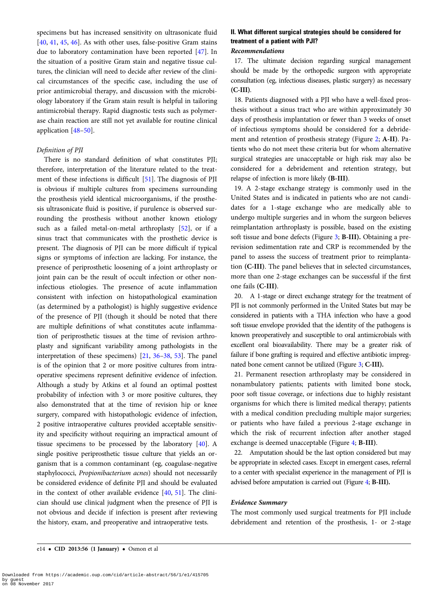specimens but has increased sensitivity on ultrasonicate fluid [\[40](#page-21-0), [41](#page-21-0), [45,](#page-21-0) [46\]](#page-21-0). As with other uses, false-positive Gram stains due to laboratory contamination have been reported [\[47](#page-21-0)]. In the situation of a positive Gram stain and negative tissue cultures, the clinician will need to decide after review of the clinical circumstances of the specific case, including the use of prior antimicrobial therapy, and discussion with the microbiology laboratory if the Gram stain result is helpful in tailoring antimicrobial therapy. Rapid diagnostic tests such as polymerase chain reaction are still not yet available for routine clinical application [[48](#page-21-0)–[50](#page-21-0)].

#### Definition of PJI

There is no standard definition of what constitutes PJI; therefore, interpretation of the literature related to the treatment of these infections is difficult [[51\]](#page-21-0). The diagnosis of PJI is obvious if multiple cultures from specimens surrounding the prosthesis yield identical microorganisms, if the prosthesis ultrasonicate fluid is positive, if purulence is observed surrounding the prosthesis without another known etiology such as a failed metal-on-metal arthroplasty [[52](#page-21-0)], or if a sinus tract that communicates with the prosthetic device is present. The diagnosis of PJI can be more difficult if typical signs or symptoms of infection are lacking. For instance, the presence of periprosthetic loosening of a joint arthroplasty or joint pain can be the result of occult infection or other noninfectious etiologies. The presence of acute inflammation consistent with infection on histopathological examination (as determined by a pathologist) is highly suggestive evidence of the presence of PJI (though it should be noted that there are multiple definitions of what constitutes acute inflammation of periprosthetic tissues at the time of revision arthroplasty and significant variability among pathologists in the interpretation of these specimens) [[21,](#page-20-0) [36](#page-20-0)–[38,](#page-21-0) [53](#page-21-0)]. The panel is of the opinion that 2 or more positive cultures from intraoperative specimens represent definitive evidence of infection. Although a study by Atkins et al found an optimal posttest probability of infection with 3 or more positive cultures, they also demonstrated that at the time of revision hip or knee surgery, compared with histopathologic evidence of infection, 2 positive intraoperative cultures provided acceptable sensitivity and specificity without requiring an impractical amount of tissue specimens to be processed by the laboratory [\[40\]](#page-21-0). A single positive periprosthetic tissue culture that yields an organism that is a common contaminant (eg, coagulase-negative staphylococci, Propionibacterium acnes) should not necessarily be considered evidence of definite PJI and should be evaluated in the context of other available evidence [[40,](#page-21-0) [51\]](#page-21-0). The clinician should use clinical judgment when the presence of PJI is not obvious and decide if infection is present after reviewing the history, exam, and preoperative and intraoperative tests.

# II. What different surgical strategies should be considered for treatment of a patient with PJI?

#### Recommendations

17. The ultimate decision regarding surgical management should be made by the orthopedic surgeon with appropriate consultation (eg, infectious diseases, plastic surgery) as necessary (C-III).

18. Patients diagnosed with a PJI who have a well-fixed prosthesis without a sinus tract who are within approximately 30 days of prosthesis implantation or fewer than 3 weeks of onset of infectious symptoms should be considered for a debridement and retention of prosthesis strategy (Figure [2;](#page-4-0) A-II). Patients who do not meet these criteria but for whom alternative surgical strategies are unacceptable or high risk may also be considered for a debridement and retention strategy, but relapse of infection is more likely (B-III).

19. A 2-stage exchange strategy is commonly used in the United States and is indicated in patients who are not candidates for a 1-stage exchange who are medically able to undergo multiple surgeries and in whom the surgeon believes reimplantation arthroplasty is possible, based on the existing soft tissue and bone defects (Figure [3](#page-5-0); B-III). Obtaining a prerevision sedimentation rate and CRP is recommended by the panel to assess the success of treatment prior to reimplantation (C-III). The panel believes that in selected circumstances, more than one 2-stage exchanges can be successful if the first one fails (C-III).

20. A 1-stage or direct exchange strategy for the treatment of PJI is not commonly performed in the United States but may be considered in patients with a THA infection who have a good soft tissue envelope provided that the identity of the pathogens is known preoperatively and susceptible to oral antimicrobials with excellent oral bioavailability. There may be a greater risk of failure if bone grafting is required and effective antibiotic impregnated bone cement cannot be utilized (Figure [3](#page-5-0); C-III).

21. Permanent resection arthroplasty may be considered in nonambulatory patients; patients with limited bone stock, poor soft tissue coverage, or infections due to highly resistant organisms for which there is limited medical therapy; patients with a medical condition precluding multiple major surgeries; or patients who have failed a previous 2-stage exchange in which the risk of recurrent infection after another staged exchange is deemed unacceptable (Figure [4](#page-6-0); B-III).

22. Amputation should be the last option considered but may be appropriate in selected cases. Except in emergent cases, referral to a center with specialist experience in the management of PJI is advised before amputation is carried out (Figure [4;](#page-6-0) B-III).

#### Evidence Summary

The most commonly used surgical treatments for PJI include debridement and retention of the prosthesis, 1- or 2-stage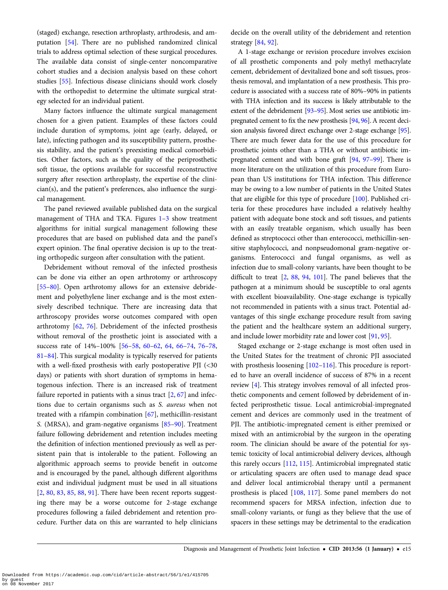(staged) exchange, resection arthroplasty, arthrodesis, and amputation [[54\]](#page-21-0). There are no published randomized clinical trials to address optimal selection of these surgical procedures. The available data consist of single-center noncomparative cohort studies and a decision analysis based on these cohort studies [[55\]](#page-21-0). Infectious disease clinicians should work closely with the orthopedist to determine the ultimate surgical strategy selected for an individual patient.

Many factors influence the ultimate surgical management chosen for a given patient. Examples of these factors could include duration of symptoms, joint age (early, delayed, or late), infecting pathogen and its susceptibility pattern, prosthesis stability, and the patient's preexisting medical comorbidities. Other factors, such as the quality of the periprosthetic soft tissue, the options available for successful reconstructive surgery after resection arthroplasty, the expertise of the clinician(s), and the patient's preferences, also influence the surgical management.

The panel reviewed available published data on the surgical management of THA and TKA. Figures  $1-3$  $1-3$  $1-3$  show treatment algorithms for initial surgical management following these procedures that are based on published data and the panel's expert opinion. The final operative decision is up to the treating orthopedic surgeon after consultation with the patient.

Debridement without removal of the infected prosthesis can be done via either an open arthrotomy or arthroscopy [\[55](#page-21-0)–[80](#page-22-0)]. Open arthrotomy allows for an extensive debridement and polyethylene liner exchange and is the most extensively described technique. There are increasing data that arthroscopy provides worse outcomes compared with open arthrotomy [[62](#page-21-0), [76\]](#page-21-0). Debridement of the infected prosthesis without removal of the prosthetic joint is associated with a success rate of 14%–100% [[56](#page-21-0)–[58](#page-21-0), [60](#page-21-0)–[62,](#page-21-0) [64,](#page-21-0) [66](#page-21-0)–[74,](#page-21-0) [76](#page-21-0)–[78,](#page-22-0) [81](#page-22-0)–[84](#page-22-0)]. This surgical modality is typically reserved for patients with a well-fixed prosthesis with early postoperative PJI (<30 days) or patients with short duration of symptoms in hematogenous infection. There is an increased risk of treatment failure reported in patients with a sinus tract  $[2, 67]$  $[2, 67]$  $[2, 67]$  $[2, 67]$  and infections due to certain organisms such as S. aureus when not treated with a rifampin combination [\[67](#page-21-0)], methicillin-resistant S. (MRSA), and gram-negative organisms [\[85](#page-22-0)–[90](#page-22-0)]. Treatment failure following debridement and retention includes meeting the definition of infection mentioned previously as well as persistent pain that is intolerable to the patient. Following an algorithmic approach seems to provide benefit in outcome and is encouraged by the panel, although different algorithms exist and individual judgment must be used in all situations [\[2,](#page-20-0) [80,](#page-22-0) [83](#page-22-0), [85](#page-22-0), [88,](#page-22-0) [91\]](#page-22-0). There have been recent reports suggesting there may be a worse outcome for 2-stage exchange procedures following a failed debridement and retention procedure. Further data on this are warranted to help clinicians decide on the overall utility of the debridement and retention strategy [[84,](#page-22-0) [92\]](#page-22-0).

A 1-stage exchange or revision procedure involves excision of all prosthetic components and poly methyl methacrylate cement, debridement of devitalized bone and soft tissues, prosthesis removal, and implantation of a new prosthesis. This procedure is associated with a success rate of 80%–90% in patients with THA infection and its success is likely attributable to the extent of the debridement [\[93](#page-22-0)–[95](#page-22-0)]. Most series use antibiotic impregnated cement to fix the new prosthesis [\[94,](#page-22-0) [96](#page-22-0)]. A recent decision analysis favored direct exchange over 2-stage exchange [\[95\]](#page-22-0). There are much fewer data for the use of this procedure for prosthetic joints other than a THA or without antibiotic impregnated cement and with bone graft [\[94](#page-22-0), [97](#page-22-0)–[99\]](#page-22-0). There is more literature on the utilization of this procedure from European than US institutions for THA infection. This difference may be owing to a low number of patients in the United States that are eligible for this type of procedure [\[100](#page-22-0)]. Published criteria for these procedures have included a relatively healthy patient with adequate bone stock and soft tissues, and patients with an easily treatable organism, which usually has been defined as streptococci other than enterococci, methicillin-sensitive staphylococci, and nonpseudomonal gram-negative organisms. Enterococci and fungal organisms, as well as infection due to small-colony variants, have been thought to be difficult to treat [[2](#page-20-0), [88,](#page-22-0) [94,](#page-22-0) [101\]](#page-22-0). The panel believes that the pathogen at a minimum should be susceptible to oral agents with excellent bioavailability. One-stage exchange is typically not recommended in patients with a sinus tract. Potential advantages of this single exchange procedure result from saving the patient and the healthcare system an additional surgery, and include lower morbidity rate and lower cost [[91,](#page-22-0) [95\]](#page-22-0).

Staged exchange or 2-stage exchange is most often used in the United States for the treatment of chronic PJI associated with prosthesis loosening [[102](#page-22-0)–[116](#page-22-0)]. This procedure is reported to have an overall incidence of success of 87% in a recent review [[4](#page-20-0)]. This strategy involves removal of all infected prosthetic components and cement followed by debridement of infected periprosthetic tissue. Local antimicrobial-impregnated cement and devices are commonly used in the treatment of PJI. The antibiotic-impregnated cement is either premixed or mixed with an antimicrobial by the surgeon in the operating room. The clinician should be aware of the potential for systemic toxicity of local antimicrobial delivery devices, although this rarely occurs [[112](#page-22-0), [115\]](#page-22-0). Antimicrobial impregnated static or articulating spacers are often used to manage dead space and deliver local antimicrobial therapy until a permanent prosthesis is placed [[108](#page-22-0), [117](#page-23-0)]. Some panel members do not recommend spacers for MRSA infection, infection due to small-colony variants, or fungi as they believe that the use of spacers in these settings may be detrimental to the eradication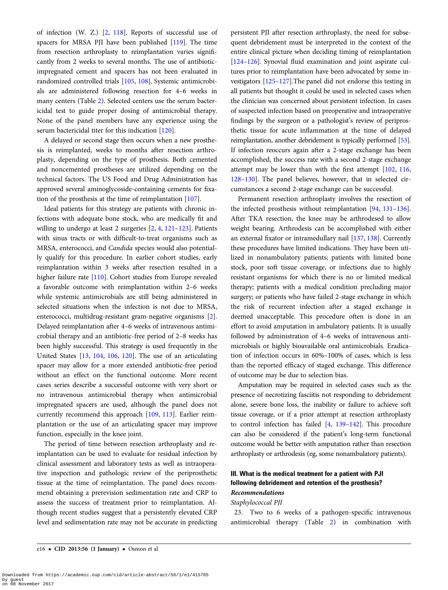of infection (W. Z.) [[2](#page-20-0), [118\]](#page-23-0). Reports of successful use of spacers for MRSA PJI have been published [\[119\]](#page-23-0). The time from resection arthroplasty to reimplantation varies significantly from 2 weeks to several months. The use of antibioticimpregnated cement and spacers has not been evaluated in randomized controlled trials [[105](#page-22-0), [108](#page-22-0)]. Systemic antimicrobials are administered following resection for 4–6 weeks in many centers (Table [2](#page-7-0)). Selected centers use the serum bactericidal test to guide proper dosing of antimicrobial therapy. None of the panel members have any experience using the serum bactericidal titer for this indication [[120\]](#page-23-0).

A delayed or second stage then occurs when a new prosthesis is reimplanted, weeks to months after resection arthroplasty, depending on the type of prosthesis. Both cemented and noncemented prostheses are utilized depending on the technical factors. The US Food and Drug Administration has approved several aminoglycoside-containing cements for fixation of the prosthesis at the time of reimplantation [[107\]](#page-22-0).

Ideal patients for this strategy are patients with chronic infections with adequate bone stock, who are medically fit and willing to undergo at least 2 surgeries [\[2,](#page-20-0) [4,](#page-20-0) [121](#page-23-0)–[123](#page-23-0)]. Patients with sinus tracts or with difficult-to-treat organisms such as MRSA, enterococci, and Candida species would also potentially qualify for this procedure. In earlier cohort studies, early reimplantation within 3 weeks after resection resulted in a higher failure rate [\[110\]](#page-22-0). Cohort studies from Europe revealed a favorable outcome with reimplantation within 2–6 weeks while systemic antimicrobials are still being administered in selected situations when the infection is not due to MRSA, enterococci, multidrug-resistant gram-negative organisms [\[2\]](#page-20-0). Delayed reimplantation after 4–6 weeks of intravenous antimicrobial therapy and an antibiotic-free period of 2–8 weeks has been highly successful. This strategy is used frequently in the United States [[13,](#page-20-0) [104,](#page-22-0) [106](#page-22-0), [120](#page-23-0)]. The use of an articulating spacer may allow for a more extended antibiotic-free period without an effect on the functional outcome. More recent cases series describe a successful outcome with very short or no intravenous antimicrobial therapy when antimicrobial impregnated spacers are used, although the panel does not currently recommend this approach [\[109,](#page-22-0) [113\]](#page-22-0). Earlier reimplantation or the use of an articulating spacer may improve function, especially in the knee joint.

The period of time between resection arthroplasty and reimplantation can be used to evaluate for residual infection by clinical assessment and laboratory tests as well as intraoperative inspection and pathologic review of the periprosthetic tissue at the time of reimplantation. The panel does recommend obtaining a prerevision sedimentation rate and CRP to assess the success of treatment prior to reimplantation. Although recent studies suggest that a persistently elevated CRP level and sedimentation rate may not be accurate in predicting

persistent PJI after resection arthroplasty, the need for subsequent debridement must be interpreted in the context of the entire clinical picture when deciding timing of reimplantation [\[124](#page-23-0)–[126](#page-23-0)]. Synovial fluid examination and joint aspirate cultures prior to reimplantation have been advocated by some investigators [[125](#page-23-0)–[127\]](#page-23-0).The panel did not endorse this testing in all patients but thought it could be used in selected cases when the clinician was concerned about persistent infection. In cases of suspected infection based on preoperative and intraoperative findings by the surgeon or a pathologist's review of periprosthetic tissue for acute inflammation at the time of delayed reimplantation, another debridement is typically performed [\[53\]](#page-21-0). If infection reoccurs again after a 2-stage exchange has been accomplished, the success rate with a second 2-stage exchange attempt may be lower than with the first attempt [\[102,](#page-22-0) [116,](#page-22-0) [128](#page-23-0)–[130](#page-23-0)]. The panel believes, however, that in selected circumstances a second 2-stage exchange can be successful.

Permanent resection arthroplasty involves the resection of the infected prosthesis without reimplantation [\[94](#page-22-0), [131](#page-23-0)–[136\]](#page-23-0). After TKA resection, the knee may be arthrodesed to allow weight bearing. Arthrodesis can be accomplished with either an external fixator or intramedullary nail [[137](#page-23-0), [138](#page-23-0)]. Currently these procedures have limited indications. They have been utilized in nonambulatory patients; patients with limited bone stock, poor soft tissue coverage, or infections due to highly resistant organisms for which there is no or limited medical therapy; patients with a medical condition precluding major surgery; or patients who have failed 2-stage exchange in which the risk of recurrent infection after a staged exchange is deemed unacceptable. This procedure often is done in an effort to avoid amputation in ambulatory patients. It is usually followed by administration of 4–6 weeks of intravenous antimicrobials or highly bioavailable oral antimicrobials. Eradication of infection occurs in 60%–100% of cases, which is less than the reported efficacy of staged exchange. This difference of outcome may be due to selection bias.

Amputation may be required in selected cases such as the presence of necrotizing fasciitis not responding to debridement alone, severe bone loss, the inability or failure to achieve soft tissue coverage, or if a prior attempt at resection arthroplasty to control infection has failed [\[4](#page-20-0), [139](#page-23-0)–[142](#page-23-0)]. This procedure can also be considered if the patient's long-term functional outcome would be better with amputation rather than resection arthroplasty or arthrodesis (eg, some nonambulatory patients).

# III. What is the medical treatment for a patient with PJI following debridement and retention of the prosthesis? Recommendations Staphylococcal PJI

23. Two to 6 weeks of a pathogen-specific intravenous antimicrobial therapy (Table [2\)](#page-7-0) in combination with

e16 • CID 2013:56 (1 January) • Osmon et al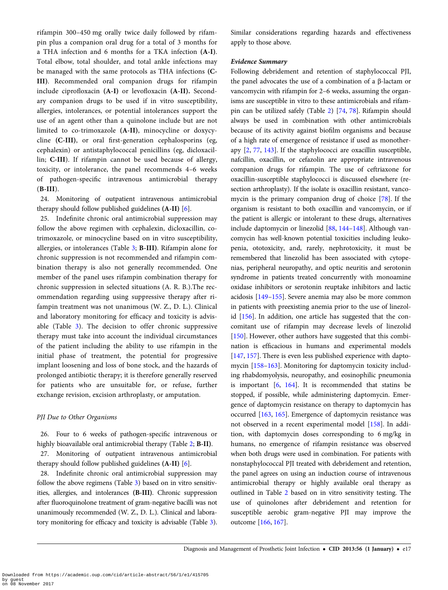rifampin 300–450 mg orally twice daily followed by rifampin plus a companion oral drug for a total of 3 months for a THA infection and 6 months for a TKA infection (A-I). Total elbow, total shoulder, and total ankle infections may be managed with the same protocols as THA infections (C-III). Recommended oral companion drugs for rifampin include ciprofloxacin (A-I) or levofloxacin (A-II). Secondary companion drugs to be used if in vitro susceptibility, allergies, intolerances, or potential intolerances support the use of an agent other than a quinolone include but are not limited to co-trimoxazole (A-II), minocycline or doxycycline (C-III), or oral first-generation cephalosporins (eg, cephalexin) or antistaphylococcal penicillins (eg, dicloxacillin; C-III). If rifampin cannot be used because of allergy, toxicity, or intolerance, the panel recommends 4–6 weeks of pathogen-specific intravenous antimicrobial therapy (B-III).

24. Monitoring of outpatient intravenous antimicrobial therapy should follow published guidelines (A-II) [\[6\]](#page-20-0).

25. Indefinite chronic oral antimicrobial suppression may follow the above regimen with cephalexin, dicloxacillin, cotrimoxazole, or minocycline based on in vitro susceptibility, allergies, or intolerances (Table [3](#page-9-0); B-III). Rifampin alone for chronic suppression is not recommended and rifampin combination therapy is also not generally recommended. One member of the panel uses rifampin combination therapy for chronic suppression in selected situations (A. R. B.).The recommendation regarding using suppressive therapy after rifampin treatment was not unanimous (W. Z., D. L.). Clinical and laboratory monitoring for efficacy and toxicity is advisable (Table [3](#page-9-0)). The decision to offer chronic suppressive therapy must take into account the individual circumstances of the patient including the ability to use rifampin in the initial phase of treatment, the potential for progressive implant loosening and loss of bone stock, and the hazards of prolonged antibiotic therapy; it is therefore generally reserved for patients who are unsuitable for, or refuse, further exchange revision, excision arthroplasty, or amputation.

#### PJI Due to Other Organisms

26. Four to 6 weeks of pathogen-specific intravenous or highly bioavailable oral antimicrobial therapy (Table [2;](#page-7-0) B-II). 27. Monitoring of outpatient intravenous antimicrobial therapy should follow published guidelines (A-II) [\[6\]](#page-20-0).

28. Indefinite chronic oral antimicrobial suppression may follow the above regimens (Table [3](#page-9-0)) based on in vitro sensitivities, allergies, and intolerances (B-III). Chronic suppression after fluoroquinolone treatment of gram-negative bacilli was not unanimously recommended (W. Z., D. L.). Clinical and laboratory monitoring for efficacy and toxicity is advisable (Table [3\)](#page-9-0). Similar considerations regarding hazards and effectiveness apply to those above.

#### Evidence Summary

Following debridement and retention of staphylococcal PJI, the panel advocates the use of a combination of a β-lactam or vancomycin with rifampin for 2–6 weeks, assuming the organisms are susceptible in vitro to these antimicrobials and rifampin can be utilized safely (Table [2](#page-7-0)) [\[74](#page-21-0), [78](#page-22-0)]. Rifampin should always be used in combination with other antimicrobials because of its activity against biofilm organisms and because of a high rate of emergence of resistance if used as monotherapy [\[2,](#page-20-0) [77,](#page-22-0) [143](#page-23-0)]. If the staphylococci are oxacillin susceptible, nafcillin, oxacillin, or cefazolin are appropriate intravenous companion drugs for rifampin. The use of ceftriaxone for oxacillin-susceptible staphylococci is discussed elsewhere (resection arthroplasty). If the isolate is oxacillin resistant, vancomycin is the primary companion drug of choice [\[78](#page-22-0)]. If the organism is resistant to both oxacillin and vancomycin, or if the patient is allergic or intolerant to these drugs, alternatives include daptomycin or linezolid [\[88,](#page-22-0) [144](#page-23-0)–[148](#page-23-0)]. Although vancomycin has well-known potential toxicities including leukopenia, ototoxicity, and, rarely, nephrotoxicity, it must be remembered that linezolid has been associated with cytopenias, peripheral neuropathy, and optic neuritis and serotonin syndrome in patients treated concurrently with monoamine oxidase inhibitors or serotonin reuptake inhibitors and lactic acidosis [[149](#page-23-0)–[155](#page-23-0)]. Severe anemia may also be more common in patients with preexisting anemia prior to the use of linezolid [\[156](#page-23-0)]. In addition, one article has suggested that the concomitant use of rifampin may decrease levels of linezolid [\[150\]](#page-23-0). However, other authors have suggested that this combination is efficacious in humans and experimental models [\[147,](#page-23-0) [157\]](#page-23-0). There is even less published experience with daptomycin [\[158](#page-23-0)–[163](#page-24-0)]. Monitoring for daptomycin toxicity including rhabdomyolysis, neuropathy, and eosinophilic pneumonia is important [[6](#page-20-0), [164](#page-24-0)]. It is recommended that statins be stopped, if possible, while administering daptomycin. Emergence of daptomycin resistance on therapy to daptomycin has occurred [[163,](#page-24-0) [165](#page-24-0)]. Emergence of daptomycin resistance was not observed in a recent experimental model [[158](#page-23-0)]. In addition, with daptomycin doses corresponding to 6 mg/kg in humans, no emergence of rifampin resistance was observed when both drugs were used in combination. For patients with nonstaphylococcal PJI treated with debridement and retention, the panel agrees on using an induction course of intravenous antimicrobial therapy or highly available oral therapy as outlined in Table [2](#page-7-0) based on in vitro sensitivity testing. The use of quinolones after debridement and retention for susceptible aerobic gram-negative PJI may improve the outcome [[166,](#page-24-0) [167](#page-24-0)].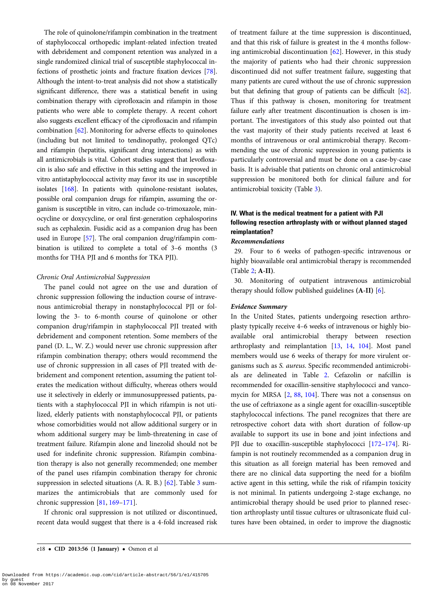The role of quinolone/rifampin combination in the treatment of staphylococcal orthopedic implant-related infection treated with debridement and component retention was analyzed in a single randomized clinical trial of susceptible staphylococcal infections of prosthetic joints and fracture fixation devices [[78\]](#page-22-0). Although the intent-to-treat analysis did not show a statistically significant difference, there was a statistical benefit in using combination therapy with ciprofloxacin and rifampin in those patients who were able to complete therapy. A recent cohort also suggests excellent efficacy of the ciprofloxacin and rifampin combination [\[62](#page-21-0)]. Monitoring for adverse effects to quinolones (including but not limited to tendinopathy, prolonged QTc) and rifampin (hepatitis, significant drug interactions) as with all antimicrobials is vital. Cohort studies suggest that levofloxacin is also safe and effective in this setting and the improved in vitro antistaphylococcal activity may favor its use in susceptible isolates [\[168](#page-24-0)]. In patients with quinolone-resistant isolates, possible oral companion drugs for rifampin, assuming the organism is susceptible in vitro, can include co-trimoxazole, minocycline or doxycycline, or oral first-generation cephalosporins such as cephalexin. Fusidic acid as a companion drug has been used in Europe [\[57](#page-21-0)]. The oral companion drug/rifampin combination is utilized to complete a total of 3–6 months (3 months for THA PJI and 6 months for TKA PJI).

#### Chronic Oral Antimicrobial Suppression

The panel could not agree on the use and duration of chronic suppression following the induction course of intravenous antimicrobial therapy in nonstaphylococcal PJI or following the 3- to 6-month course of quinolone or other companion drug/rifampin in staphylococcal PJI treated with debridement and component retention. Some members of the panel (D. L., W. Z.) would never use chronic suppression after rifampin combination therapy; others would recommend the use of chronic suppression in all cases of PJI treated with debridement and component retention, assuming the patient tolerates the medication without difficulty, whereas others would use it selectively in elderly or immunosuppressed patients, patients with a staphylococcal PJI in which rifampin is not utilized, elderly patients with nonstaphylococcal PJI, or patients whose comorbidities would not allow additional surgery or in whom additional surgery may be limb-threatening in case of treatment failure. Rifampin alone and linezolid should not be used for indefinite chronic suppression. Rifampin combination therapy is also not generally recommended; one member of the panel uses rifampin combination therapy for chronic suppression in selected situations (A. R. B.) [[62\]](#page-21-0). Table [3](#page-9-0) summarizes the antimicrobials that are commonly used for chronic suppression [\[81](#page-22-0), [169](#page-24-0)–[171](#page-24-0)].

If chronic oral suppression is not utilized or discontinued, recent data would suggest that there is a 4-fold increased risk of treatment failure at the time suppression is discontinued, and that this risk of failure is greatest in the 4 months following antimicrobial discontinuation [[62\]](#page-21-0). However, in this study the majority of patients who had their chronic suppression discontinued did not suffer treatment failure, suggesting that many patients are cured without the use of chronic suppression but that defining that group of patients can be difficult [[62\]](#page-21-0). Thus if this pathway is chosen, monitoring for treatment failure early after treatment discontinuation is chosen is important. The investigators of this study also pointed out that the vast majority of their study patients received at least 6 months of intravenous or oral antimicrobial therapy. Recommending the use of chronic suppression in young patients is particularly controversial and must be done on a case-by-case basis. It is advisable that patients on chronic oral antimicrobial suppression be monitored both for clinical failure and for antimicrobial toxicity (Table [3\)](#page-9-0).

# IV. What is the medical treatment for a patient with PJI following resection arthroplasty with or without planned staged reimplantation?

#### Recommendations

29. Four to 6 weeks of pathogen-specific intravenous or highly bioavailable oral antimicrobial therapy is recommended (Table [2](#page-7-0); A-II).

30. Monitoring of outpatient intravenous antimicrobial therapy should follow published guidelines (A-II) [\[6\]](#page-20-0).

#### Evidence Summary

In the United States, patients undergoing resection arthroplasty typically receive 4–6 weeks of intravenous or highly bioavailable oral antimicrobial therapy between resection arthroplasty and reimplantation [\[13,](#page-20-0) [14,](#page-20-0) [104\]](#page-22-0). Most panel members would use 6 weeks of therapy for more virulent organisms such as S. aureus. Specific recommended antimicrobials are delineated in Table [2](#page-7-0). Cefazolin or nafcillin is recommended for oxacillin-sensitive staphylococci and vancomycin for MRSA [\[2,](#page-20-0) [88,](#page-22-0) [104\]](#page-22-0). There was not a consensus on the use of ceftriaxone as a single agent for oxacillin-susceptible staphylococcal infections. The panel recognizes that there are retrospective cohort data with short duration of follow-up available to support its use in bone and joint infections and PJI due to oxacillin-susceptible staphylococci [\[172](#page-24-0)–[174](#page-24-0)]. Rifampin is not routinely recommended as a companion drug in this situation as all foreign material has been removed and there are no clinical data supporting the need for a biofilm active agent in this setting, while the risk of rifampin toxicity is not minimal. In patients undergoing 2-stage exchange, no antimicrobial therapy should be used prior to planned resection arthroplasty until tissue cultures or ultrasonicate fluid cultures have been obtained, in order to improve the diagnostic

e18 • CID 2013:56 (1 January) • Osmon et al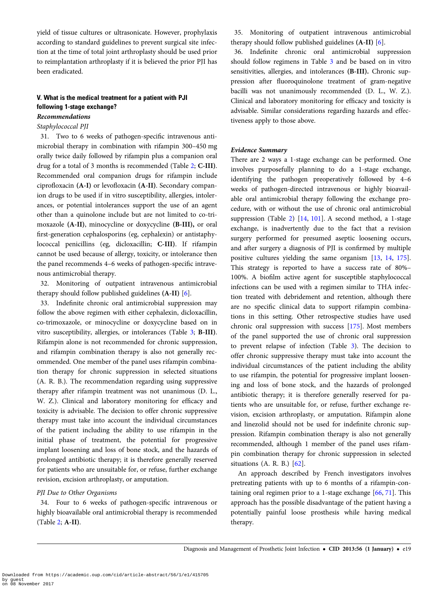yield of tissue cultures or ultrasonicate. However, prophylaxis according to standard guidelines to prevent surgical site infection at the time of total joint arthroplasty should be used prior to reimplantation arthroplasty if it is believed the prior PJI has been eradicated.

# V. What is the medical treatment for a patient with PJI following 1-stage exchange?

# Recommendations

# Staphylococcal PJI

31. Two to 6 weeks of pathogen-specific intravenous antimicrobial therapy in combination with rifampin 300–450 mg orally twice daily followed by rifampin plus a companion oral drug for a total of 3 months is recommended (Table [2](#page-7-0); C-III). Recommended oral companion drugs for rifampin include ciprofloxacin (A-I) or levofloxacin (A-II). Secondary companion drugs to be used if in vitro susceptibility, allergies, intolerances, or potential intolerances support the use of an agent other than a quinolone include but are not limited to co-trimoxazole (A-II), minocycline or doxycycline (B-III), or oral first-generation cephalosporins (eg, cephalexin) or antistaphylococcal penicillins (eg, dicloxacillin; C-III). If rifampin cannot be used because of allergy, toxicity, or intolerance then the panel recommends 4–6 weeks of pathogen-specific intravenous antimicrobial therapy.

32. Monitoring of outpatient intravenous antimicrobial therapy should follow published guidelines (A-II) [\[6\]](#page-20-0).

33. Indefinite chronic oral antimicrobial suppression may follow the above regimen with either cephalexin, dicloxacillin, co-trimoxazole, or minocycline or doxycycline based on in vitro susceptibility, allergies, or intolerances (Table [3;](#page-9-0) B-III). Rifampin alone is not recommended for chronic suppression, and rifampin combination therapy is also not generally recommended. One member of the panel uses rifampin combination therapy for chronic suppression in selected situations (A. R. B.). The recommendation regarding using suppressive therapy after rifampin treatment was not unanimous (D. L., W. Z.). Clinical and laboratory monitoring for efficacy and toxicity is advisable. The decision to offer chronic suppressive therapy must take into account the individual circumstances of the patient including the ability to use rifampin in the initial phase of treatment, the potential for progressive implant loosening and loss of bone stock, and the hazards of prolonged antibiotic therapy; it is therefore generally reserved for patients who are unsuitable for, or refuse, further exchange revision, excision arthroplasty, or amputation.

# PJI Due to Other Organisms

34. Four to 6 weeks of pathogen-specific intravenous or highly bioavailable oral antimicrobial therapy is recommended (Table [2](#page-7-0); A-II).

35. Monitoring of outpatient intravenous antimicrobial therapy should follow published guidelines (A-II) [\[6\]](#page-20-0).

36. Indefinite chronic oral antimicrobial suppression should follow regimens in Table [3](#page-9-0) and be based on in vitro sensitivities, allergies, and intolerances (B-III). Chronic suppression after fluoroquinolone treatment of gram-negative bacilli was not unanimously recommended (D. L., W. Z.). Clinical and laboratory monitoring for efficacy and toxicity is advisable. Similar considerations regarding hazards and effectiveness apply to those above.

# Evidence Summary

There are 2 ways a 1-stage exchange can be performed. One involves purposefully planning to do a 1-stage exchange, identifying the pathogen preoperatively followed by 4–6 weeks of pathogen-directed intravenous or highly bioavailable oral antimicrobial therapy following the exchange procedure, with or without the use of chronic oral antimicrobial suppression (Table [2](#page-7-0)) [[14](#page-20-0), [101\]](#page-22-0). A second method, a 1-stage exchange, is inadvertently due to the fact that a revision surgery performed for presumed aseptic loosening occurs, and after surgery a diagnosis of PJI is confirmed by multiple positive cultures yielding the same organism [\[13](#page-20-0), [14,](#page-20-0) [175\]](#page-24-0). This strategy is reported to have a success rate of 80%– 100%. A biofilm active agent for susceptible staphylococcal infections can be used with a regimen similar to THA infection treated with debridement and retention, although there are no specific clinical data to support rifampin combinations in this setting. Other retrospective studies have used chronic oral suppression with success [[175](#page-24-0)]. Most members of the panel supported the use of chronic oral suppression to prevent relapse of infection (Table [3\)](#page-9-0). The decision to offer chronic suppressive therapy must take into account the individual circumstances of the patient including the ability to use rifampin, the potential for progressive implant loosening and loss of bone stock, and the hazards of prolonged antibiotic therapy; it is therefore generally reserved for patients who are unsuitable for, or refuse, further exchange revision, excision arthroplasty, or amputation. Rifampin alone and linezolid should not be used for indefinite chronic suppression. Rifampin combination therapy is also not generally recommended, although 1 member of the panel uses rifampin combination therapy for chronic suppression in selected situations (A. R. B.) [\[62\]](#page-21-0).

An approach described by French investigators involves pretreating patients with up to 6 months of a rifampin-containing oral regimen prior to a 1-stage exchange [\[66](#page-21-0), [71\]](#page-21-0). This approach has the possible disadvantage of the patient having a potentially painful loose prosthesis while having medical therapy.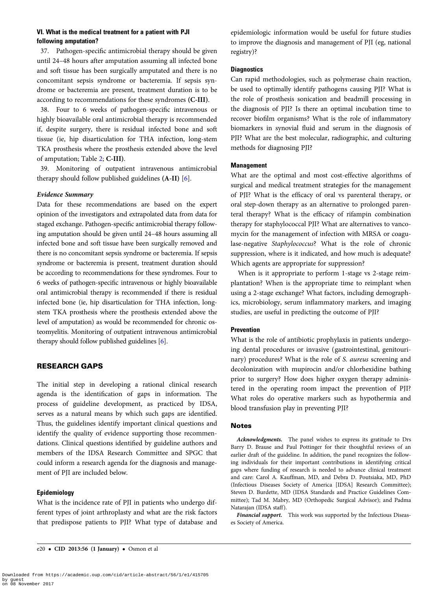# VI. What is the medical treatment for a patient with PJI following amputation?

37. Pathogen-specific antimicrobial therapy should be given until 24–48 hours after amputation assuming all infected bone and soft tissue has been surgically amputated and there is no concomitant sepsis syndrome or bacteremia. If sepsis syndrome or bacteremia are present, treatment duration is to be according to recommendations for these syndromes (C-III).

38. Four to 6 weeks of pathogen-specific intravenous or highly bioavailable oral antimicrobial therapy is recommended if, despite surgery, there is residual infected bone and soft tissue (ie, hip disarticulation for THA infection, long-stem TKA prosthesis where the prosthesis extended above the level of amputation; Table [2;](#page-7-0) C-III).

39. Monitoring of outpatient intravenous antimicrobial therapy should follow published guidelines  $(A-II)$  [\[6\]](#page-20-0).

#### Evidence Summary

Data for these recommendations are based on the expert opinion of the investigators and extrapolated data from data for staged exchange. Pathogen-specific antimicrobial therapy following amputation should be given until 24–48 hours assuming all infected bone and soft tissue have been surgically removed and there is no concomitant sepsis syndrome or bacteremia. If sepsis syndrome or bacteremia is present, treatment duration should be according to recommendations for these syndromes. Four to 6 weeks of pathogen-specific intravenous or highly bioavailable oral antimicrobial therapy is recommended if there is residual infected bone (ie, hip disarticulation for THA infection, longstem TKA prosthesis where the prosthesis extended above the level of amputation) as would be recommended for chronic osteomyelitis. Monitoring of outpatient intravenous antimicrobial therapy should follow published guidelines [[6](#page-20-0)].

#### RESEARCH GAPS

The initial step in developing a rational clinical research agenda is the identification of gaps in information. The process of guideline development, as practiced by IDSA, serves as a natural means by which such gaps are identified. Thus, the guidelines identify important clinical questions and identify the quality of evidence supporting those recommendations. Clinical questions identified by guideline authors and members of the IDSA Research Committee and SPGC that could inform a research agenda for the diagnosis and management of PJI are included below.

#### Epidemiology

What is the incidence rate of PJI in patients who undergo different types of joint arthroplasty and what are the risk factors that predispose patients to PJI? What type of database and

e20 • CID 2013:56 (1 January) • Osmon et al

epidemiologic information would be useful for future studies to improve the diagnosis and management of PJI (eg, national registry)?

#### **Diagnostics**

Can rapid methodologies, such as polymerase chain reaction, be used to optimally identify pathogens causing PJI? What is the role of prosthesis sonication and beadmill processing in the diagnosis of PJI? Is there an optimal incubation time to recover biofilm organisms? What is the role of inflammatory biomarkers in synovial fluid and serum in the diagnosis of PJI? What are the best molecular, radiographic, and culturing methods for diagnosing PJI?

#### **Management**

What are the optimal and most cost-effective algorithms of surgical and medical treatment strategies for the management of PJI? What is the efficacy of oral vs parenteral therapy, or oral step-down therapy as an alternative to prolonged parenteral therapy? What is the efficacy of rifampin combination therapy for staphylococcal PJI? What are alternatives to vancomycin for the management of infection with MRSA or coagulase-negative Staphylococcus? What is the role of chronic suppression, where is it indicated, and how much is adequate? Which agents are appropriate for suppression?

When is it appropriate to perform 1-stage vs 2-stage reimplantation? When is the appropriate time to reimplant when using a 2-stage exchange? What factors, including demographics, microbiology, serum inflammatory markers, and imaging studies, are useful in predicting the outcome of PJI?

#### Prevention

What is the role of antibiotic prophylaxis in patients undergoing dental procedures or invasive (gastrointestinal, genitourinary) procedures? What is the role of S. aureus screening and decolonization with mupirocin and/or chlorhexidine bathing prior to surgery? How does higher oxygen therapy administered in the operating room impact the prevention of PJI? What roles do operative markers such as hypothermia and blood transfusion play in preventing PJI?

#### **Notes**

Acknowledgments. The panel wishes to express its gratitude to Drs Barry D. Brause and Paul Pottinger for their thoughtful reviews of an earlier draft of the guideline. In addition, the panel recognizes the following individuals for their important contributions in identifying critical gaps where funding of research is needed to advance clinical treatment and care: Carol A. Kauffman, MD, and Debra D. Poutsiaka, MD, PhD (Infectious Diseases Society of America [IDSA] Research Committee); Steven D. Burdette, MD (IDSA Standards and Practice Guidelines Committee); Tad M. Mabry, MD (Orthopedic Surgical Advisor); and Padma Natarajan (IDSA staff).

Financial support. This work was supported by the Infectious Diseases Society of America.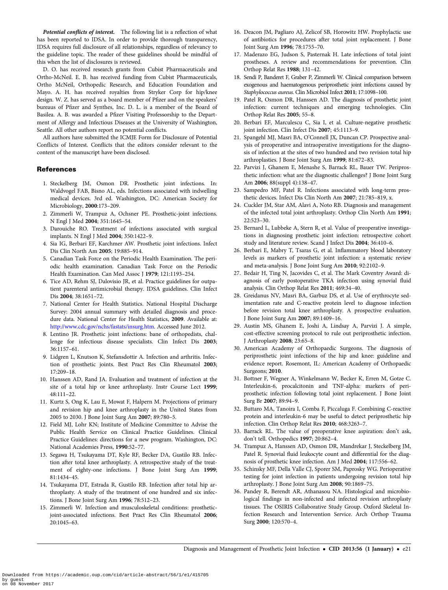<span id="page-20-0"></span>Potential conflicts of interest. The following list is a reflection of what has been reported to IDSA. In order to provide thorough transparency, IDSA requires full disclosure of all relationships, regardless of relevancy to the guideline topic. The reader of these guidelines should be mindful of this when the list of disclosures is reviewed.

D. O. has received research grants from Cubist Pharmaceuticals and Ortho-McNeil. E. B. has received funding from Cubist Pharmaceuticals, Ortho McNeil, Orthopedic Research, and Education Foundation and Mayo. A. H. has received royalties from Stryker Corp for hip/knee design. W. Z. has served as a board member of Pfizer and on the speakers' bureaus of Pfizer and Synthes, Inc. D. L. is a member of the Board of Basilea. A. B. was awarded a Pfizer Visiting Professorship to the Department of Allergy and Infectious Diseases at the University of Washington, Seattle. All other authors report no potential conflicts.

All authors have submitted the ICMJE Form for Disclosure of Potential Conflicts of Interest. Conflicts that the editors consider relevant to the content of the manuscript have been disclosed.

#### **References**

- 1. Steckelberg JM, Osmon DR. Prosthetic joint infections. In: Waldvogel FAB, Bisno AL, eds. Infections associated with indwelling medical devices. 3rd ed. Washington, DC: American Society for Microbiology, 2000:173–209.
- 2. Zimmerli W, Trampuz A, Ochsner PE. Prosthetic-joint infections. N Engl J Med 2004; 351:1645–54.
- 3. Darouiche RO. Treatment of infections associated with surgical implants. N Engl J Med 2004; 350:1422–9.
- 4. Sia IG, Berbari EF, Karchmer AW. Prosthetic joint infections. Infect Dis Clin North Am 2005; 19:885–914.
- 5. Canadian Task Force on the Periodic Health Examination. The periodic health examination. Canadian Task Force on the Periodic Health Examination. Can Med Assoc J 1979; 121:1193–254.
- 6. Tice AD, Rehm SJ, Dalovisio JR, et al. Practice guidelines for outpatient parenteral antimicrobial therapy. IDSA guidelines. Clin Infect Dis 2004; 38:1651–72.
- 7. National Center for Health Statistics. National Hospital Discharge Survey: 2004 annual summary with detailed diagnosis and procedure data. National Center for Health Statistics, 2009. Available at: <http://www.cdc.gov/nchs/fastats/insurg.htm>. Accessed June 2012.
- 8. Lentino JR. Prosthetic joint infections: bane of orthopedists, challenge for infectious disease specialists. Clin Infect Dis 2003; 36:1157–61.
- 9. Lidgren L, Knutson K, Stefansdottir A. Infection and arthritis. Infection of prosthetic joints. Best Pract Res Clin Rheumatol 2003; 17:209–18.
- 10. Hanssen AD, Rand JA. Evaluation and treatment of infection at the site of a total hip or knee arthroplasty. Instr Course Lect 1999; 48:111–22.
- 11. Kurtz S, Ong K, Lau E, Mowat F, Halpern M. Projections of primary and revision hip and knee arthroplasty in the United States from 2005 to 2030. J Bone Joint Surg Am 2007; 89:780–5.
- 12. Field MJ, Lohr KN; Institute of Medicine Committee to Advise the Public Health Service on Clinical Practice Guidelines. Clinical Practice Guidelines: directions for a new program. Washington, DC: National Academies Press, 1990:52–77.
- 13. Segawa H, Tsukayama DT, Kyle RF, Becker DA, Gustilo RB. Infection after total knee arthroplasty. A retrospective study of the treatment of eighty-one infections. J Bone Joint Surg Am 1999; 81:1434–45.
- 14. Tsukayama DT, Estrada R, Gustilo RB. Infection after total hip arthroplasty. A study of the treatment of one hundred and six infections. J Bone Joint Surg Am 1996; 78:512–23.
- 15. Zimmerli W. Infection and musculoskeletal conditions: prostheticjoint-associated infections. Best Pract Res Clin Rheumatol 2006; 20:1045–63.
- 16. Deacon JM, Pagliaro AJ, Zelicof SB, Horowitz HW. Prophylactic use of antibiotics for procedures after total joint replacement. J Bone Joint Surg Am 1996; 78:1755–70.
- 17. Maderazo EG, Judson S, Pasternak H. Late infections of total joint prostheses. A review and recommendations for prevention. Clin Orthop Relat Res 1988; 131–42.
- 18. Sendi P, Banderet F, Graber P, Zimmerli W. Clinical comparison between exogenous and haematogenous periprosthetic joint infections caused by Staphylococcus aureus. Clin Microbiol Infect 2011; 17:1098–100.
- 19. Patel R, Osmon DR, Hanssen AD. The diagnosis of prosthetic joint infection: current techniques and emerging technologies. Clin Orthop Relat Res 2005; 55–8.
- 20. Berbari EF, Marculescu C, Sia I, et al. Culture-negative prosthetic joint infection. Clin Infect Dis 2007; 45:1113–9.
- 21. Spangehl MJ, Masri BA, O'Connell JX, Duncan CP. Prospective analysis of preoperative and intraoperative investigations for the diagnosis of infection at the sites of two hundred and two revision total hip arthroplasties. J Bone Joint Surg Am 1999; 81:672–83.
- 22. Parvizi J, Ghanem E, Menashe S, Barrack RL, Bauer TW. Periprosthetic infection: what are the diagnostic challenges? J Bone Joint Surg Am 2006; 88(suppl 4):138–47.
- 23. Sampedro MF, Patel R. Infections associated with long-term prosthetic devices. Infect Dis Clin North Am 2007; 21:785–819, x.
- 24. Cuckler JM, Star AM, Alavi A, Noto RB. Diagnosis and management of the infected total joint arthroplasty. Orthop Clin North Am 1991; 22:523–30.
- 25. Bernard L, Lubbeke A, Stern R, et al. Value of preoperative investigations in diagnosing prosthetic joint infection: retrospective cohort study and literature review. Scand J Infect Dis 2004; 36:410–6.
- 26. Berbari E, Mabry T, Tsaras G, et al. Inflammatory blood laboratory levels as markers of prosthetic joint infection: a systematic review and meta-analysis. J Bone Joint Surg Am 2010; 92:2102–9.
- 27. Bedair H, Ting N, Jacovides C, et al. The Mark Coventry Award: diagnosis of early postoperative TKA infection using synovial fluid analysis. Clin Orthop Relat Res 2011; 469:34–40.
- 28. Greidanus NV, Masri BA, Garbuz DS, et al. Use of erythrocyte sedimentation rate and C-reactive protein level to diagnose infection before revision total knee arthroplasty. A prospective evaluation. J Bone Joint Surg Am 2007; 89:1409–16.
- 29. Austin MS, Ghanem E, Joshi A, Lindsay A, Parvizi J. A simple, cost-effective screening protocol to rule out periprosthetic infection. J Arthroplasty 2008; 23:65–8.
- 30. American Academy of Orthopaedic Surgeons. The diagnosis of periprosthetic joint infections of the hip and knee: guideline and evidence report. Rosemont, IL: American Academy of Orthopaedic Surgeons; 2010.
- 31. Bottner F, Wegner A, Winkelmann W, Becker K, Erren M, Gotze C. Interleukin-6, procalcitonin and TNF-alpha: markers of periprosthetic infection following total joint replacement. J Bone Joint Surg Br 2007; 89:94–9.
- 32. Buttaro MA, Tanoira I, Comba F, Piccaluga F. Combining C-reactive protein and interleukin-6 may be useful to detect periprosthetic hip infection. Clin Orthop Relat Res 2010; 468:3263–7.
- 33. Barrack RL. The value of preoperative knee aspiration: don't ask, don't tell. Orthopedics 1997; 20:862–4.
- 34. Trampuz A, Hanssen AD, Osmon DR, Mandrekar J, Steckelberg JM, Patel R. Synovial fluid leukocyte count and differential for the diagnosis of prosthetic knee infection. Am J Med 2004; 117:556–62.
- 35. Schinsky MF, Della Valle CJ, Sporer SM, Paprosky WG. Perioperative testing for joint infection in patients undergoing revision total hip arthroplasty. J Bone Joint Surg Am 2008; 90:1869–75.
- 36. Pandey R, Berendt AR, Athanasou NA. Histological and microbiological findings in non-infected and infected revision arthroplasty tissues. The OSIRIS Collaborative Study Group. Oxford Skeletal Infection Research and Intervention Service. Arch Orthop Trauma Surg 2000; 120:570–4.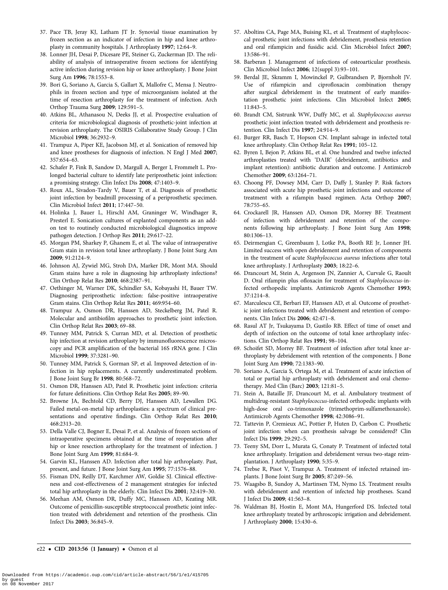- <span id="page-21-0"></span>37. Pace TB, Jeray KJ, Latham JT Jr. Synovial tissue examination by frozen section as an indicator of infection in hip and knee arthroplasty in community hospitals. J Arthroplasty 1997; 12:64–9.
- 38. Lonner JH, Desai P, Dicesare PE, Steiner G, Zuckerman JD. The reliability of analysis of intraoperative frozen sections for identifying active infection during revision hip or knee arthroplasty. J Bone Joint Surg Am 1996; 78:1553–8.
- 39. Bori G, Soriano A, Garcia S, Gallart X, Mallofre C, Mensa J. Neutrophils in frozen section and type of microorganism isolated at the time of resection arthroplasty for the treatment of infection. Arch Orthop Trauma Surg 2009; 129:591–5.
- 40. Atkins BL, Athanasou N, Deeks JJ, et al. Prospective evaluation of criteria for microbiological diagnosis of prosthetic-joint infection at revision arthroplasty. The OSIRIS Collaborative Study Group. J Clin Microbiol 1998; 36:2932–9.
- 41. Trampuz A, Piper KE, Jacobson MJ, et al. Sonication of removed hip and knee prostheses for diagnosis of infection. N Engl J Med 2007; 357:654–63.
- 42. Schafer P, Fink B, Sandow D, Margull A, Berger I, Frommelt L. Prolonged bacterial culture to identify late periprosthetic joint infection: a promising strategy. Clin Infect Dis 2008; 47:1403–9.
- 43. Roux AL, Sivadon-Tardy V, Bauer T, et al. Diagnosis of prosthetic joint infection by beadmill processing of a periprosthetic specimen. Clin Microbiol Infect 2011; 17:447–50.
- 44. Holinka J, Bauer L, Hirschl AM, Graninger W, Windhager R, Presterl E. Sonication cultures of explanted components as an addon test to routinely conducted microbiological diagnostics improve pathogen detection. J Orthop Res 2011; 29:617–22.
- 45. Morgan PM, Sharkey P, Ghanem E, et al. The value of intraoperative Gram stain in revision total knee arthroplasty. J Bone Joint Surg Am 2009; 91:2124–9.
- 46. Johnson AJ, Zywiel MG, Stroh DA, Marker DR, Mont MA. Should Gram stains have a role in diagnosing hip arthroplasty infections? Clin Orthop Relat Res 2010; 468:2387–91.
- 47. Oethinger M, Warner DK, Schindler SA, Kobayashi H, Bauer TW. Diagnosing periprosthetic infection: false-positive intraoperative Gram stains. Clin Orthop Relat Res 2011; 469:954–60.
- 48. Trampuz A, Osmon DR, Hanssen AD, Steckelberg JM, Patel R. Molecular and antibiofilm approaches to prosthetic joint infection. Clin Orthop Relat Res 2003; 69–88.
- 49. Tunney MM, Patrick S, Curran MD, et al. Detection of prosthetic hip infection at revision arthroplasty by immunofluorescence microscopy and PCR amplification of the bacterial 16S rRNA gene. J Clin Microbiol 1999; 37:3281–90.
- 50. Tunney MM, Patrick S, Gorman SP, et al. Improved detection of infection in hip replacements. A currently underestimated problem. J Bone Joint Surg Br 1998; 80:568–72.
- 51. Osmon DR, Hanssen AD, Patel R. Prosthetic joint infection: criteria for future definitions. Clin Orthop Relat Res 2005; 89–90.
- 52. Browne JA, Bechtold CD, Berry DJ, Hanssen AD, Lewallen DG. Failed metal-on-metal hip arthroplasties: a spectrum of clinical presentations and operative findings. Clin Orthop Relat Res 2010; 468:2313–20.
- 53. Della Valle CJ, Bogner E, Desai P, et al. Analysis of frozen sections of intraoperative specimens obtained at the time of reoperation after hip or knee resection arthroplasty for the treatment of infection. J Bone Joint Surg Am 1999; 81:684–9.
- 54. Garvin KL, Hanssen AD. Infection after total hip arthroplasty. Past, present, and future. J Bone Joint Surg Am 1995; 77:1576–88.
- 55. Fisman DN, Reilly DT, Karchmer AW, Goldie SJ. Clinical effectiveness and cost-effectiveness of 2 management strategies for infected total hip arthroplasty in the elderly. Clin Infect Dis 2001; 32:419–30.
- 56. Meehan AM, Osmon DR, Duffy MC, Hanssen AD, Keating MR. Outcome of penicillin-susceptible streptococcal prosthetic joint infection treated with debridement and retention of the prosthesis. Clin Infect Dis 2003; 36:845–9.
- 57. Aboltins CA, Page MA, Buising KL, et al. Treatment of staphylococcal prosthetic joint infections with debridement, prosthesis retention and oral rifampicin and fusidic acid. Clin Microbiol Infect 2007; 13:586–91.
- 58. Barberan J. Management of infections of osteoarticular prosthesis. Clin Microbiol Infect 2006; 12(suppl 3):93–101.
- 59. Berdal JE, Skramm I, Mowinckel P, Gulbrandsen P, Bjornholt JV. Use of rifampicin and ciprofloxacin combination therapy after surgical debridement in the treatment of early manifestation prosthetic joint infections. Clin Microbiol Infect 2005; 11:843–5.
- 60. Brandt CM, Sistrunk WW, Duffy MC, et al. Staphylococcus aureus prosthetic joint infection treated with debridement and prosthesis retention. Clin Infect Dis 1997; 24:914–9.
- 61. Burger RR, Basch T, Hopson CN. Implant salvage in infected total knee arthroplasty. Clin Orthop Relat Res 1991; 105–12.
- 62. Byren I, Bejon P, Atkins BL, et al. One hundred and twelve infected arthroplasties treated with 'DAIR' (debridement, antibiotics and implant retention): antibiotic duration and outcome. J Antimicrob Chemother 2009; 63:1264–71.
- 63. Choong PF, Dowsey MM, Carr D, Daffy J, Stanley P. Risk factors associated with acute hip prosthetic joint infections and outcome of treatment with a rifampin based regimen. Acta Orthop 2007; 78:755–65.
- 64. Crockarell JR, Hanssen AD, Osmon DR, Morrey BF. Treatment of infection with debridement and retention of the components following hip arthroplasty. J Bone Joint Surg Am 1998; 80:1306–13.
- 65. Deirmengian C, Greenbaum J, Lotke PA, Booth RE Jr, Lonner JH. Limited success with open debridement and retention of components in the treatment of acute Staphylococcus aureus infections after total knee arthroplasty. J Arthroplasty 2003; 18:22–6.
- 66. Drancourt M, Stein A, Argenson JN, Zannier A, Curvale G, Raoult D. Oral rifampin plus ofloxacin for treatment of Staphylococcus-infected orthopedic implants. Antimicrob Agents Chemother 1993; 37:1214–8.
- 67. Marculescu CE, Berbari EF, Hanssen AD, et al. Outcome of prosthetic joint infections treated with debridement and retention of components. Clin Infect Dis 2006; 42:471–8.
- Rasul AT Jr, Tsukayama D, Gustilo RB. Effect of time of onset and depth of infection on the outcome of total knee arthroplasty infections. Clin Orthop Relat Res 1991; 98–104.
- 69. Schoifet SD, Morrey BF. Treatment of infection after total knee arthroplasty by debridement with retention of the components. J Bone Joint Surg Am 1990; 72:1383–90.
- 70. Soriano A, Garcia S, Ortega M, et al. Treatment of acute infection of total or partial hip arthroplasty with debridement and oral chemotherapy. Med Clin (Barc) 2003; 121:81–5.
- 71. Stein A, Bataille JF, Drancourt M, et al. Ambulatory treatment of multidrug-resistant Staphylococcus-infected orthopedic implants with high-dose oral co-trimoxazole (trimethoprim-sulfamethoxazole). Antimicrob Agents Chemother 1998; 42:3086–91.
- 72. Tattevin P, Cremieux AC, Pottier P, Huten D, Carbon C. Prosthetic joint infection: when can prosthesis salvage be considered? Clin Infect Dis 1999; 29:292–5.
- 73. Teeny SM, Dorr L, Murata G, Conaty P. Treatment of infected total knee arthroplasty. Irrigation and debridement versus two-stage reimplantation. J Arthroplasty 1990; 5:35–9.
- 74. Trebse R, Pisot V, Trampuz A. Treatment of infected retained implants. J Bone Joint Surg Br 2005; 87:249–56.
- 75. Waagsbo B, Sundoy A, Martinsen TM, Nymo LS. Treatment results with debridement and retention of infected hip prostheses. Scand J Infect Dis 2009; 41:563–8.
- 76. Waldman BJ, Hostin E, Mont MA, Hungerford DS. Infected total knee arthroplasty treated by arthroscopic irrigation and debridement. J Arthroplasty 2000; 15:430–6.

e22 • CID 2013:56 (1 January) • Osmon et al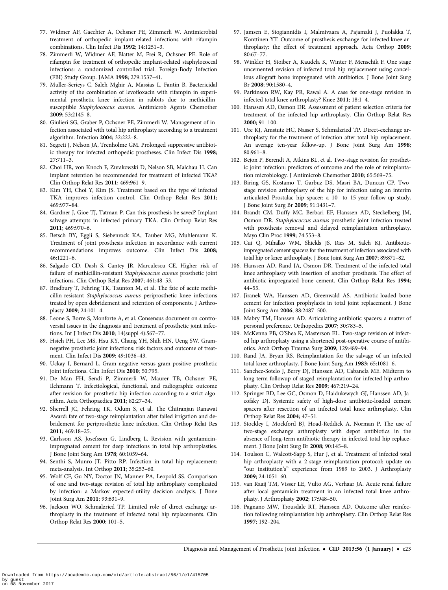- <span id="page-22-0"></span>77. Widmer AF, Gaechter A, Ochsner PE, Zimmerli W. Antimicrobial treatment of orthopedic implant-related infections with rifampin combinations. Clin Infect Dis 1992; 14:1251–3.
- 78. Zimmerli W, Widmer AF, Blatter M, Frei R, Ochsner PE. Role of rifampin for treatment of orthopedic implant-related staphylococcal infections: a randomized controlled trial. Foreign-Body Infection (FBI) Study Group. JAMA 1998; 279:1537–41.
- 79. Muller-Serieys C, Saleh Mghir A, Massias L, Fantin B. Bactericidal activity of the combination of levofloxacin with rifampin in experimental prosthetic knee infection in rabbits due to methicillinsusceptible Staphylococcus aureus. Antimicrob Agents Chemother 2009; 53:2145–8.
- 80. Giulieri SG, Graber P, Ochsner PE, Zimmerli W. Management of infection associated with total hip arthroplasty according to a treatment algorithm. Infection 2004; 32:222–8.
- 81. Segreti J, Nelson JA, Trenholme GM. Prolonged suppressive antibiotic therapy for infected orthopedic prostheses. Clin Infect Dis 1998; 27:711–3.
- 82. Choi HR, von Knoch F, Zurakowski D, Nelson SB, Malchau H. Can implant retention be recommended for treatment of infected TKA? Clin Orthop Relat Res 2011; 469:961–9.
- 83. Kim YH, Choi Y, Kim JS. Treatment based on the type of infected TKA improves infection control. Clin Orthop Relat Res 2011; 469:977–84.
- 84. Gardner J, Gioe TJ, Tatman P. Can this prosthesis be saved? Implant salvage attempts in infected primary TKA. Clin Orthop Relat Res 2011; 469:970–6.
- 85. Betsch BY, Eggli S, Siebenrock KA, Tauber MG, Muhlemann K. Treatment of joint prosthesis infection in accordance with current recommendations improves outcome. Clin Infect Dis 2008; 46:1221–6.
- 86. Salgado CD, Dash S, Cantey JR, Marculescu CE. Higher risk of failure of methicillin-resistant Staphylococcus aureus prosthetic joint infections. Clin Orthop Relat Res 2007; 461:48–53.
- 87. Bradbury T, Fehring TK, Taunton M, et al. The fate of acute methicillin-resistant Staphylococcus aureus periprosthetic knee infections treated by open debridement and retention of components. J Arthroplasty 2009; 24:101–4.
- 88. Leone S, Borre S, Monforte A, et al. Consensus document on controversial issues in the diagnosis and treatment of prosthetic joint infections. Int J Infect Dis 2010; 14(suppl 4):S67–77.
- 89. Hsieh PH, Lee MS, Hsu KY, Chang YH, Shih HN, Ueng SW. Gramnegative prosthetic joint infections: risk factors and outcome of treatment. Clin Infect Dis 2009; 49:1036–43.
- 90. Uckay I, Bernard L. Gram-negative versus gram-positive prosthetic joint infections. Clin Infect Dis 2010; 50:795.
- 91. De Man FH, Sendi P, Zimmerli W, Maurer TB, Ochsner PE, Ilchmann T. Infectiological, functional, and radiographic outcome after revision for prosthetic hip infection according to a strict algorithm. Acta Orthopaedica 2011; 82:27–34.
- 92. Sherrell JC, Fehring TK, Odum S, et al. The Chitranjan Ranawat Award: fate of two-stage reimplantation after failed irrigation and debridement for periprosthetic knee infection. Clin Orthop Relat Res 2011; 469:18–25.
- 93. Carlsson AS, Josefsson G, Lindberg L. Revision with gentamicinimpregnated cement for deep infections in total hip arthroplasties. J Bone Joint Surg Am 1978; 60:1059–64.
- 94. Senthi S, Munro JT, Pitto RP. Infection in total hip replacement: meta-analysis. Int Orthop 2011; 35:253–60.
- 95. Wolf CF, Gu NY, Doctor JN, Manner PA, Leopold SS. Comparison of one and two-stage revision of total hip arthroplasty complicated by infection: a Markov expected-utility decision analysis. J Bone Joint Surg Am 2011; 93:631–9.
- 96. Jackson WO, Schmalzried TP. Limited role of direct exchange arthroplasty in the treatment of infected total hip replacements. Clin Orthop Relat Res 2000; 101–5.
- 97. Jamsen E, Stogiannidis I, Malmivaara A, Pajamaki J, Puolakka T, Konttinen YT. Outcome of prosthesis exchange for infected knee arthroplasty: the effect of treatment approach. Acta Orthop 2009; 80:67–77.
- 98. Winkler H, Stoiber A, Kaudela K, Winter F, Menschik F. One stage uncemented revision of infected total hip replacement using cancellous allograft bone impregnated with antibiotics. J Bone Joint Surg Br 2008; 90:1580–4.
- 99. Parkinson RW, Kay PR, Rawal A. A case for one-stage revision in infected total knee arthroplasty? Knee 2011; 18:1–4.
- 100. Hanssen AD, Osmon DR. Assessment of patient selection criteria for treatment of the infected hip arthroplasty. Clin Orthop Relat Res 2000; 91–100.
- 101. Ure KJ, Amstutz HC, Nasser S, Schmalzried TP. Direct-exchange arthroplasty for the treatment of infection after total hip replacement. An average ten-year follow-up. J Bone Joint Surg Am 1998; 80:961–8.
- 102. Bejon P, Berendt A, Atkins BL, et al. Two-stage revision for prosthetic joint infection: predictors of outcome and the role of reimplantation microbiology. J Antimicrob Chemother 2010; 65:569–75.
- 103. Biring GS, Kostamo T, Garbuz DS, Masri BA, Duncan CP. Twostage revision arthroplasty of the hip for infection using an interim articulated Prostalac hip spacer: a 10- to 15-year follow-up study. J Bone Joint Surg Br 2009; 91:1431–7.
- 104. Brandt CM, Duffy MC, Berbari EF, Hanssen AD, Steckelberg JM, Osmon DR. Staphylococcus aureus prosthetic joint infection treated with prosthesis removal and delayed reimplantation arthroplasty. Mayo Clin Proc 1999; 74:553–8.
- 105. Cui Q, Mihalko WM, Shields JS, Ries M, Saleh KJ. Antibioticimpregnated cement spacers for the treatment of infection associated with total hip or knee arthroplasty. J Bone Joint Surg Am 2007; 89:871–82.
- 106. Hanssen AD, Rand JA, Osmon DR. Treatment of the infected total knee arthroplasty with insertion of another prosthesis. The effect of antibiotic-impregnated bone cement. Clin Orthop Relat Res 1994; 44–55.
- 107. Jiranek WA, Hanssen AD, Greenwald AS. Antibiotic-loaded bone cement for infection prophylaxis in total joint replacement. J Bone Joint Surg Am 2006; 88:2487–500.
- 108. Mabry TM, Hanssen AD. Articulating antibiotic spacers: a matter of personal preference. Orthopedics 2007; 30:783–5.
- 109. McKenna PB, O'Shea K, Masterson EL. Two-stage revision of infected hip arthroplasty using a shortened post-operative course of antibiotics. Arch Orthop Trauma Surg 2009; 129:489–94.
- 110. Rand JA, Bryan RS. Reimplantation for the salvage of an infected total knee arthroplasty. J Bone Joint Surg Am 1983; 65:1081–6.
- 111. Sanchez-Sotelo J, Berry DJ, Hanssen AD, Cabanela ME. Midterm to long-term followup of staged reimplantation for infected hip arthroplasty. Clin Orthop Relat Res 2009; 467:219–24.
- 112. Springer BD, Lee GC, Osmon D, Haidukewych GJ, Hanssen AD, Jacofsky DJ. Systemic safety of high-dose antibiotic-loaded cement spacers after resection of an infected total knee arthroplasty. Clin Orthop Relat Res 2004; 47–51.
- 113. Stockley I, Mockford BJ, Hoad-Reddick A, Norman P. The use of two-stage exchange arthroplasty with depot antibiotics in the absence of long-term antibiotic therapy in infected total hip replacement. J Bone Joint Surg Br 2008; 90:145–8.
- 114. Toulson C, Walcott-Sapp S, Hur J, et al. Treatment of infected total hip arthroplasty with a 2-stage reimplantation protocol: update on "our institution's" experience from 1989 to 2003. J Arthroplasty 2009; 24:1051–60.
- 115. van Raaij TM, Visser LE, Vulto AG, Verhaar JA. Acute renal failure after local gentamicin treatment in an infected total knee arthroplasty. J Arthroplasty 2002; 17:948–50.
- 116. Pagnano MW, Trousdale RT, Hanssen AD. Outcome after reinfection following reimplantation hip arthroplasty. Clin Orthop Relat Res 1997; 192–204.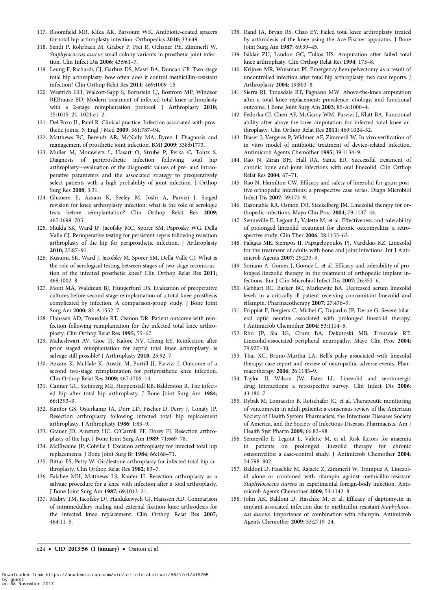- <span id="page-23-0"></span>117. Bloomfield MR, Klika AK, Barsoum WK. Antibiotic-coated spacers for total hip arthroplasty infection. Orthopedics 2010; 33:649.
- 118. Sendi P, Rohrbach M, Graber P, Frei R, Ochsner PE, Zimmerli W. Staphylococcus aureus small colony variants in prosthetic joint infection. Clin Infect Dis 2006; 43:961–7.
- 119. Leung F, Richards CJ, Garbuz DS, Masri BA, Duncan CP. Two-stage total hip arthroplasty: how often does it control methicillin-resistant infection? Clin Orthop Relat Res 2011; 469:1009–15.
- 120. Westrich GH, Walcott-Sapp S, Bornstein LJ, Bostrom MP, Windsor REBrause BD. Modern treatment of infected total knee arthroplasty with a 2-stage reimplantation protocol. J Arthroplasty 2010; 25:1015–21, 1021.e1–2.
- 121. Del Pozo JL, Patel R. Clinical practice. Infection associated with prosthetic joints. N Engl J Med 2009; 361:787–94.
- 122. Matthews PC, Berendt AR, McNally MA, Byren I. Diagnosis and management of prosthetic joint infection. BMJ 2009; 338:b1773.
- 123. Muller M, Morawietz L, Hasart O, Strube P, Perka C, Tohtz S. Diagnosis of periprosthetic infection following total hip arthroplasty—evaluation of the diagnostic values of pre- and intraoperative parameters and the associated strategy to preoperatively select patients with a high probability of joint infection. J Orthop Surg Res 2008; 3:31.
- 124. Ghanem E, Azzam K, Seeley M, Joshi A, Parvizi J. Staged revision for knee arthroplasty infection: what is the role of serologic tests before reimplantation? Clin Orthop Relat Res 2009; 467:1699–705.
- 125. Shukla SK, Ward JP, Jacofsky MC, Sporer SM, Paprosky WG, Della Valle CJ. Perioperative testing for persistent sepsis following resection arthroplasty of the hip for periprosthetic infection. J Arthroplasty 2010; 25:87–91.
- 126. Kusuma SK, Ward J, Jacofsky M, Sporer SM, Della Valle CJ. What is the role of serological testing between stages of two-stage reconstruction of the infected prosthetic knee? Clin Orthop Relat Res 2011; 469:1002–8.
- 127. Mont MA, Waldman BJ, Hungerford DS. Evaluation of preoperative cultures before second-stage reimplantation of a total knee prosthesis complicated by infection. A comparison-group study. J Bone Joint Surg Am 2000; 82-A:1552–7.
- 128. Hanssen AD, Trousdale RT, Osmon DR. Patient outcome with reinfection following reimplantation for the infected total knee arthroplasty. Clin Orthop Relat Res 1995; 55–67.
- 129. Maheshwari AV, Gioe TJ, Kalore NV, Cheng EY. Reinfection after prior staged reimplantation for septic total knee arthroplasty: is salvage still possible? J Arthroplasty 2010; 25:92–7.
- 130. Azzam K, McHale K, Austin M, Purtill JJ, Parvizi J. Outcome of a second two-stage reimplantation for periprosthetic knee infection. Clin Orthop Relat Res 2009; 467:1706–14.
- 131. Canner GC, Steinberg ME, Heppenstall RB, Balderston R. The infected hip after total hip arthroplasty. J Bone Joint Surg Am 1984; 66:1393–9.
- 132. Kantor GS, Osterkamp JA, Dorr LD, Fischer D, Perry J, Conaty JP. Resection arthroplasty following infected total hip replacement arthroplasty. J Arthroplasty 1986; 1:83–9.
- 133. Grauer JD, Amstutz HC, O'Carroll PF, Dorey FJ. Resection arthroplasty of the hip. J Bone Joint Surg Am 1989; 71:669–78.
- 134. McElwaine JP, Colville J. Excision arthroplasty for infected total hip replacements. J Bone Joint Surg Br 1984; 66:168–71.
- 135. Bittar ES, Petty W. Girdlestone arthroplasty for infected total hip arthroplasty. Clin Orthop Relat Res 1982; 83–7.
- 136. Falahee MH, Matthews LS, Kaufer H. Resection arthroplasty as a salvage procedure for a knee with infection after a total arthroplasty. J Bone Joint Surg Am 1987; 69:1013–21.
- 137. Mabry TM, Jacofsky DJ, Haidukewych GJ, Hanssen AD. Comparison of intramedullary nailing and external fixation knee arthrodesis for the infected knee replacement. Clin Orthop Relat Res 2007; 464:11–5.
- 138. Rand JA, Bryan RS, Chao EY. Failed total knee arthroplasty treated by arthrodesis of the knee using the Ace-Fischer apparatus. J Bone Joint Surg Am 1987; 69:39–45.
- 139. Isiklar ZU, Landon GC, Tullos HS. Amputation after failed total knee arthroplasty. Clin Orthop Relat Res 1994; 173–8.
- 140. Krijnen MR, Wuisman PI. Emergency hemipelvectomy as a result of uncontrolled infection after total hip arthroplasty: two case reports. J Arthroplasty 2004; 19:803–8.
- 141. Sierra RJ, Trousdale RT, Pagnano MW. Above-the-knee amputation after a total knee replacement: prevalence, etiology, and functional outcome. J Bone Joint Surg Am 2003; 85-A:1000–4.
- 142. Fedorka CJ, Chen AF, McGarry WM, Parvizi J, Klatt BA. Functional ability after above-the-knee amputation for infected total knee arthroplasty. Clin Orthop Relat Res 2011; 469:1024–32.
- 143. Blaser J, Vergeres P, Widmer AF, Zimmerli W. In vivo verification of in vitro model of antibiotic treatment of device-related infection. Antimicrob Agents Chemother 1995; 39:1134–9.
- 144. Rao N, Ziran BH, Hall RA, Santa ER. Successful treatment of chronic bone and joint infections with oral linezolid. Clin Orthop Relat Res 2004; 67–71.
- 145. Rao N, Hamilton CW. Efficacy and safety of linezolid for gram-positive orthopedic infections: a prospective case series. Diagn Microbiol Infect Dis 2007; 59:173–9.
- 146. Razonable RR, Osmon DR, Steckelberg JM. Linezolid therapy for orthopedic infections. Mayo Clin Proc 2004; 79:1137–44.
- 147. Senneville E, Legout L, Valette M, et al. Effectiveness and tolerability of prolonged linezolid treatment for chronic osteomyelitis: a retrospective study. Clin Ther 2006; 28:1155–63.
- 148. Falagas ME, Siempos II, Papagelopoulos PJ, Vardakas KZ. Linezolid for the treatment of adults with bone and joint infections. Int J Antimicrob Agents 2007; 29:233–9.
- 149. Soriano A, Gomez J, Gomez L, et al. Efficacy and tolerability of prolonged linezolid therapy in the treatment of orthopedic implant infections. Eur J Clin Microbiol Infect Dis 2007; 26:353–6.
- 150. Gebhart BC, Barker BC, Markewitz BA. Decreased serum linezolid levels in a critically ill patient receiving concomitant linezolid and rifampin. Pharmacotherapy 2007; 27:476–9.
- 151. Frippiat F, Bergiers C, Michel C, Dujardin JP, Derue G. Severe bilateral optic neuritis associated with prolonged linezolid therapy. J Antimicrob Chemother 2004; 53:1114–5.
- 152. Rho JP, Sia IG, Crum BA, Dekutoski MB, Trousdale RT. Linezolid-associated peripheral neuropathy. Mayo Clin Proc 2004; 79:927–30.
- 153. Thai XC, Bruno-Murtha LA. Bell's palsy associated with linezolid therapy: case report and review of neuropathic adverse events. Pharmacotherapy 2006; 26:1183–9.
- 154. Taylor JJ, Wilson JW, Estes LL. Linezolid and serotonergic drug interactions: a retrospective survey. Clin Infect Dis 2006; 43:180–7.
- 155. Rybak M, Lomaestro B, Rotschafer JC, et al. Therapeutic monitoring of vancomycin in adult patients: a consensus review of the American Society of Health System Pharmacists, the Infectious Diseases Society of America, and the Society of Infectious Diseases Pharmacists. Am J Health Syst Pharm 2009; 66:82–98.
- 156. Senneville E, Legout L, Valette M, et al. Risk factors for anaemia in patients on prolonged linezolid therapy for chronic osteomyelitis: a case-control study. J Antimicrob Chemother 2004; 54:798–802.
- 157. Baldoni D, Haschke M, Rajacic Z, Zimmerli W, Trampuz A. Linezolid alone or combined with rifampin against methicillin-resistant Staphylococcus aureus in experimental foreign-body infection. Antimicrob Agents Chemother 2009; 53:1142–8.
- 158. John AK, Baldoni D, Haschke M, et al. Efficacy of daptomycin in implant-associated infection due to methicillin-resistant Staphylococcus aureus: importance of combination with rifampin. Antimicrob Agents Chemother 2009; 53:2719–24.

e24 • CID 2013:56 (1 January) • Osmon et al